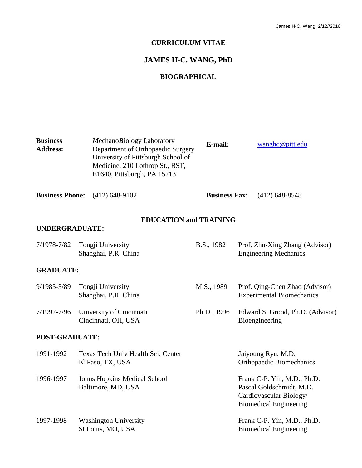#### **CURRICULUM VITAE**

# **JAMES H-C. WANG, PhD**

## **BIOGRAPHICAL**

| <b>Business</b><br><b>Address:</b> | MechanoBiology Laboratory<br>Department of Orthopaedic Surgery<br>University of Pittsburgh School of<br>Medicine, 210 Lothrop St., BST,<br>E1640, Pittsburgh, PA 15213 |                               | E-mail:              | wanghc@pitt.edu                                                                                                     |
|------------------------------------|------------------------------------------------------------------------------------------------------------------------------------------------------------------------|-------------------------------|----------------------|---------------------------------------------------------------------------------------------------------------------|
| <b>Business Phone:</b>             | $(412)$ 648-9102                                                                                                                                                       |                               | <b>Business Fax:</b> | $(412)$ 648-8548                                                                                                    |
| <b>UNDERGRADUATE:</b>              |                                                                                                                                                                        | <b>EDUCATION and TRAINING</b> |                      |                                                                                                                     |
| 7/1978-7/82                        | Tongji University<br>Shanghai, P.R. China                                                                                                                              |                               | B.S., 1982           | Prof. Zhu-Xing Zhang (Advisor)<br><b>Engineering Mechanics</b>                                                      |
| <b>GRADUATE:</b>                   |                                                                                                                                                                        |                               |                      |                                                                                                                     |
| 9/1985-3/89                        | Tongji University<br>Shanghai, P.R. China                                                                                                                              |                               | M.S., 1989           | Prof. Qing-Chen Zhao (Advisor)<br><b>Experimental Biomechanics</b>                                                  |
| 7/1992-7/96                        | University of Cincinnati<br>Cincinnati, OH, USA                                                                                                                        |                               | Ph.D., 1996          | Edward S. Grood, Ph.D. (Advisor)<br>Bioengineering                                                                  |
| POST-GRADUATE:                     |                                                                                                                                                                        |                               |                      |                                                                                                                     |
| 1991-1992                          | Texas Tech Univ Health Sci. Center<br>El Paso, TX, USA                                                                                                                 |                               |                      | Jaiyoung Ryu, M.D.<br><b>Orthopaedic Biomechanics</b>                                                               |
| 1996-1997                          | <b>Johns Hopkins Medical School</b><br>Baltimore, MD, USA                                                                                                              |                               |                      | Frank C-P. Yin, M.D., Ph.D.<br>Pascal Goldschmidt, M.D.<br>Cardiovascular Biology/<br><b>Biomedical Engineering</b> |
| 1997-1998                          | <b>Washington University</b><br>St Louis, MO, USA                                                                                                                      |                               |                      | Frank C-P. Yin, M.D., Ph.D.<br><b>Biomedical Engineering</b>                                                        |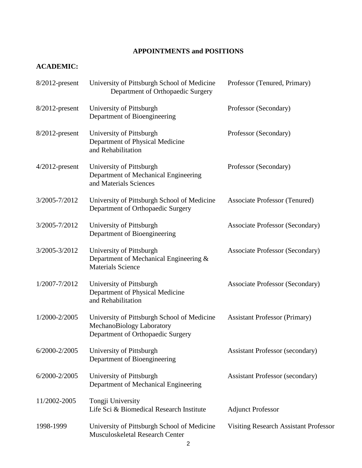# **APPOINTMENTS and POSITIONS**

# **ACADEMIC:**

| $8/2012$ -present | University of Pittsburgh School of Medicine<br>Department of Orthopaedic Surgery                              | Professor (Tenured, Primary)                 |
|-------------------|---------------------------------------------------------------------------------------------------------------|----------------------------------------------|
| 8/2012-present    | University of Pittsburgh<br>Department of Bioengineering                                                      | Professor (Secondary)                        |
| $8/2012$ -present | University of Pittsburgh<br>Department of Physical Medicine<br>and Rehabilitation                             | Professor (Secondary)                        |
| $4/2012$ -present | University of Pittsburgh<br>Department of Mechanical Engineering<br>and Materials Sciences                    | Professor (Secondary)                        |
| 3/2005-7/2012     | University of Pittsburgh School of Medicine<br>Department of Orthopaedic Surgery                              | <b>Associate Professor (Tenured)</b>         |
| 3/2005-7/2012     | University of Pittsburgh<br>Department of Bioengineering                                                      | <b>Associate Professor (Secondary)</b>       |
| 3/2005-3/2012     | University of Pittsburgh<br>Department of Mechanical Engineering &<br><b>Materials Science</b>                | <b>Associate Professor (Secondary)</b>       |
| 1/2007-7/2012     | University of Pittsburgh<br>Department of Physical Medicine<br>and Rehabilitation                             | <b>Associate Professor (Secondary)</b>       |
| 1/2000-2/2005     | University of Pittsburgh School of Medicine<br>MechanoBiology Laboratory<br>Department of Orthopaedic Surgery | <b>Assistant Professor (Primary)</b>         |
| 6/2000-2/2005     | University of Pittsburgh<br>Department of Bioengineering                                                      | <b>Assistant Professor (secondary)</b>       |
| 6/2000-2/2005     | University of Pittsburgh<br>Department of Mechanical Engineering                                              | <b>Assistant Professor (secondary)</b>       |
| 11/2002-2005      | Tongji University<br>Life Sci & Biomedical Research Institute                                                 | <b>Adjunct Professor</b>                     |
| 1998-1999         | University of Pittsburgh School of Medicine<br>Musculoskeletal Research Center                                | <b>Visiting Research Assistant Professor</b> |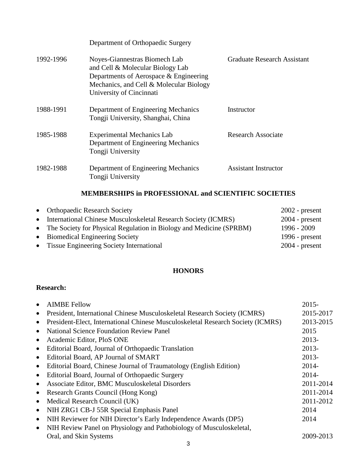Department of Orthopaedic Surgery

| 1992-1996 | Noyes-Giannestras Biomech Lab<br>and Cell & Molecular Biology Lab<br>Departments of Aerospace & Engineering<br>Mechanics, and Cell & Molecular Biology<br>University of Cincinnati | <b>Graduate Research Assistant</b> |
|-----------|------------------------------------------------------------------------------------------------------------------------------------------------------------------------------------|------------------------------------|
| 1988-1991 | Department of Engineering Mechanics<br>Tongji University, Shanghai, China                                                                                                          | Instructor                         |
| 1985-1988 | <b>Experimental Mechanics Lab</b><br>Department of Engineering Mechanics<br>Tongji University                                                                                      | Research Associate                 |
| 1982-1988 | Department of Engineering Mechanics<br>Tongji University                                                                                                                           | <b>Assistant Instructor</b>        |

# **MEMBERSHIPS in PROFESSIONAL and SCIENTIFIC SOCIETIES**

| • Orthopaedic Research Society                                        | $2002$ - present |
|-----------------------------------------------------------------------|------------------|
| • International Chinese Musculoskeletal Research Society (ICMRS)      | $2004$ - present |
| • The Society for Physical Regulation in Biology and Medicine (SPRBM) | $1996 - 2009$    |
| • Biomedical Engineering Society                                      | 1996 - $present$ |
| • Tissue Engineering Society International                            | $2004$ - present |

# **HONORS**

# **Research:**

|           | <b>AIMBE Fellow</b>                                                             | $2015 -$  |
|-----------|---------------------------------------------------------------------------------|-----------|
| $\bullet$ | President, International Chinese Musculoskeletal Research Society (ICMRS)       | 2015-2017 |
| $\bullet$ | President-Elect, International Chinese Musculoskeletal Research Society (ICMRS) | 2013-2015 |
| $\bullet$ | <b>National Science Foundation Review Panel</b>                                 | 2015      |
| $\bullet$ | Academic Editor, PloS ONE                                                       | 2013-     |
| $\bullet$ | Editorial Board, Journal of Orthopaedic Translation                             | 2013-     |
| $\bullet$ | Editorial Board, AP Journal of SMART                                            | 2013-     |
| $\bullet$ | Editorial Board, Chinese Journal of Traumatology (English Edition)              | $2014 -$  |
| $\bullet$ | Editorial Board, Journal of Orthopaedic Surgery                                 | $2014 -$  |
| $\bullet$ | Associate Editor, BMC Musculoskeletal Disorders                                 | 2011-2014 |
| $\bullet$ | Research Grants Council (Hong Kong)                                             | 2011-2014 |
| $\bullet$ | Medical Research Council (UK)                                                   | 2011-2012 |
| $\bullet$ | NIH ZRG1 CB-J 55R Special Emphasis Panel                                        | 2014      |
| $\bullet$ | NIH Reviewer for NIH Director's Early Independence Awards (DP5)                 | 2014      |
| $\bullet$ | NIH Review Panel on Physiology and Pathobiology of Musculoskeletal,             |           |
|           | Oral, and Skin Systems                                                          | 2009-2013 |
|           |                                                                                 |           |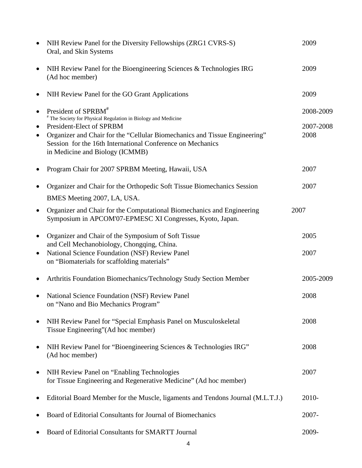| $\bullet$                           | NIH Review Panel for the Diversity Fellowships (ZRG1 CVRS-S)<br>Oral, and Skin Systems                                                                                                                                                                                                                                 | 2009                           |
|-------------------------------------|------------------------------------------------------------------------------------------------------------------------------------------------------------------------------------------------------------------------------------------------------------------------------------------------------------------------|--------------------------------|
| $\bullet$                           | NIH Review Panel for the Bioengineering Sciences & Technologies IRG<br>(Ad hoc member)                                                                                                                                                                                                                                 | 2009                           |
| $\bullet$                           | NIH Review Panel for the GO Grant Applications                                                                                                                                                                                                                                                                         | 2009                           |
| $\bullet$<br>$\bullet$<br>$\bullet$ | President of SPRBM <sup>#</sup><br><sup>#</sup> The Society for Physical Regulation in Biology and Medicine<br>President-Elect of SPRBM<br>Organizer and Chair for the "Cellular Biomechanics and Tissue Engineering"<br>Session for the 16th International Conference on Mechanics<br>in Medicine and Biology (ICMMB) | 2008-2009<br>2007-2008<br>2008 |
| ٠                                   | Program Chair for 2007 SPRBM Meeting, Hawaii, USA                                                                                                                                                                                                                                                                      | 2007                           |
|                                     | Organizer and Chair for the Orthopedic Soft Tissue Biomechanics Session<br>BMES Meeting 2007, LA, USA.                                                                                                                                                                                                                 | 2007                           |
| $\bullet$                           | Organizer and Chair for the Computational Biomechanics and Engineering<br>Symposium in APCOM'07-EPMESC XI Congresses, Kyoto, Japan.                                                                                                                                                                                    | 2007                           |
| $\bullet$                           | Organizer and Chair of the Symposium of Soft Tissue                                                                                                                                                                                                                                                                    | 2005                           |
| $\bullet$                           | and Cell Mechanobiology, Chongqing, China.<br>National Science Foundation (NSF) Review Panel<br>on "Biomaterials for scaffolding materials"                                                                                                                                                                            | 2007                           |
| $\bullet$                           | Arthritis Foundation Biomechanics/Technology Study Section Member                                                                                                                                                                                                                                                      | 2005-2009                      |
|                                     | <b>National Science Foundation (NSF) Review Panel</b><br>on "Nano and Bio Mechanics Program"                                                                                                                                                                                                                           | 2008                           |
| $\bullet$                           | NIH Review Panel for "Special Emphasis Panel on Musculoskeletal<br>Tissue Engineering" (Ad hoc member)                                                                                                                                                                                                                 | 2008                           |
| ٠                                   | NIH Review Panel for "Bioengineering Sciences & Technologies IRG"<br>(Ad hoc member)                                                                                                                                                                                                                                   | 2008                           |
| $\bullet$                           | NIH Review Panel on "Enabling Technologies"<br>for Tissue Engineering and Regenerative Medicine" (Ad hoc member)                                                                                                                                                                                                       | 2007                           |
|                                     | Editorial Board Member for the Muscle, ligaments and Tendons Journal (M.L.T.J.)                                                                                                                                                                                                                                        | 2010-                          |
|                                     | Board of Editorial Consultants for Journal of Biomechanics                                                                                                                                                                                                                                                             | $2007 -$                       |
|                                     | Board of Editorial Consultants for SMARTT Journal                                                                                                                                                                                                                                                                      | 2009-                          |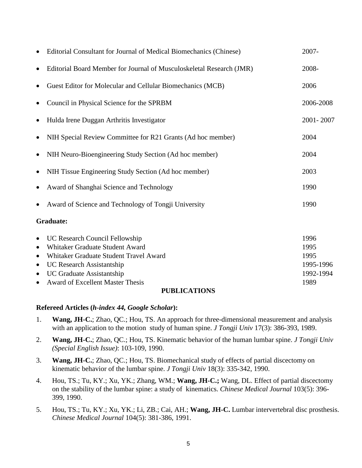|                                                                            | Editorial Consultant for Journal of Medical Biomechanics (Chinese)                                                                                                                                                      | 2007-                                                  |
|----------------------------------------------------------------------------|-------------------------------------------------------------------------------------------------------------------------------------------------------------------------------------------------------------------------|--------------------------------------------------------|
| $\bullet$                                                                  | Editorial Board Member for Journal of Musculoskeletal Research (JMR)                                                                                                                                                    | 2008-                                                  |
|                                                                            | Guest Editor for Molecular and Cellular Biomechanics (MCB)                                                                                                                                                              | 2006                                                   |
| $\bullet$                                                                  | Council in Physical Science for the SPRBM                                                                                                                                                                               | 2006-2008                                              |
| $\bullet$                                                                  | Hulda Irene Duggan Arthritis Investigator                                                                                                                                                                               | 2001-2007                                              |
|                                                                            | NIH Special Review Committee for R21 Grants (Ad hoc member)                                                                                                                                                             | 2004                                                   |
| $\bullet$                                                                  | NIH Neuro-Bioengineering Study Section (Ad hoc member)                                                                                                                                                                  | 2004                                                   |
| $\bullet$                                                                  | NIH Tissue Engineering Study Section (Ad hoc member)                                                                                                                                                                    | 2003                                                   |
| $\bullet$                                                                  | Award of Shanghai Science and Technology                                                                                                                                                                                | 1990                                                   |
|                                                                            | Award of Science and Technology of Tongji University                                                                                                                                                                    | 1990                                                   |
|                                                                            | <b>Graduate:</b>                                                                                                                                                                                                        |                                                        |
| $\bullet$<br>$\bullet$<br>$\bullet$<br>$\bullet$<br>$\bullet$<br>$\bullet$ | UC Research Council Fellowship<br>Whitaker Graduate Student Award<br>Whitaker Graduate Student Travel Award<br><b>UC Research Assistantship</b><br>UC Graduate Assistantship<br><b>Award of Excellent Master Thesis</b> | 1996<br>1995<br>1995<br>1995-1996<br>1992-1994<br>1989 |
|                                                                            | <b>PUBLICATIONS</b>                                                                                                                                                                                                     |                                                        |

#### **Refereed Articles (***h-index 44, Google Scholar***):**

- 1. **Wang, JH-C.**; Zhao, QC.; Hou, TS. An approach for three-dimensional measurement and analysis with an application to the motion study of human spine. *J Tongji Univ* 17(3): 386-393, 1989.
- 2. **Wang, JH-C.**; Zhao, QC.; Hou, TS. Kinematic behavior of the human lumbar spine. *J Tongji Univ (Special English Issue)*: 103-109, 1990.
- 3. **Wang, JH-C.**; Zhao, QC.; Hou, TS. Biomechanical study of effects of partial discectomy on kinematic behavior of the lumbar spine. *J Tongji Univ* 18(3): 335-342, 1990.
- 4. Hou, TS.; Tu, KY.; Xu, YK.; Zhang, WM.; **Wang, JH-C.;** Wang, DL. Effect of partial discectomy on the stability of the lumbar spine: a study of kinematics. *Chinese Medical Journal* 103(5): 396- 399, 1990.
- 5. Hou, TS.; Tu, KY.; Xu, YK.; Li, ZB.; Cai, AH.; **Wang, JH-C.** Lumbar intervertebral disc prosthesis. *Chinese Medical Journal* 104(5): 381-386, 1991.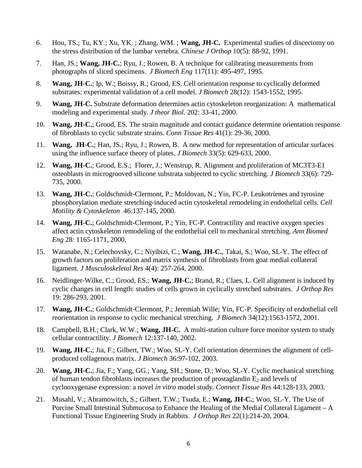- 6. Hou, TS.; Tu, KY.; Xu, YK. ; Zhang, WM. ; **Wang, JH-C.** Experimental studies of discectomy on the stress distribution of the lumbar vertebra. *Chinese J Orthop* 10(5): 88-92, 1991.
- 7. Han, JS.; **Wang, JH-C.**; Ryu, J.; Rowen, B. A technique for calibrating measurements from photographs of sliced specimens. *J Biomech Eng* 117(11): 495-497*,* 1995.
- 8. **Wang, JH-C.**; Ip, W.; Boissy, R.; Grood, ES. Cell orientation response to cyclically deformed substrates: experimental validation of a cell model. *J Biomech* 28(12): 1543-1552, 1995.
- 9. **Wang, JH-C.** Substrate deformation determines actin cytoskeleton reorganization: A mathematical modeling and experimental study. *J theor Biol.* 202: 33-41, 2000.
- 10. **Wang, JH-C.**; Grood, ES. The strain magnitude and contact guidance determine orientation response of fibroblasts to cyclic substrate strains. *Conn Tissue Res* 41(1): 29-36, 2000.
- 11. **Wang, JH-C.**; Han, JS.; Ryu, J.; Rowen, B. A new method for representation of articular surfaces using the influence surface theory of plates. *J Biomech* 33(5): 629-633, 2000.
- 12. **Wang, JH-C.**; Grood, E.S.; Florer, J.; Wenstrup, R. Alignment and proliferation of MC3T3-E1 osteoblasts in microgrooved silicone substrata subjected to cyclic stretching. *J Biomech* 33(6): 729- 735, 2000.
- 13. **Wang, JH-C.**; Goldschmidt-Clermont, P.; Moldovan, N.; Yin, FC-P. Leukotrienes and tyrosine phosphorylation mediate stretching-induced actin cytoskeletal remodeling in endothelial cells. *Cell Motility & Cytoskeleton* 46:137-145, 2000.
- 14. **Wang, JH-C.**; Goldschmidt-Clermont, P.; Yin, FC-P. Contractility and reactive oxygen species affect actin cytoskeleton remodeling of the endothelial cell to mechanical stretching. *Ann Biomed Eng* 28: 1165-1171, 2000.
- 15. Watanabe, N.; Celechovsky, C.; Niyibizi, C.; **Wang, JH-C.**, Takai, S.; Woo, SL-Y. The effect of growth factors on proliferation and matrix synthesis of fibroblasts from goat medial collateral ligament. *J Musculoskeletal Res* 4(4): 257-264, 2000.
- 16. Neidlinger-Wilke, C.; Grood, ES.; **Wang, JH-C.**; Brand, R.; Claes, L. Cell alignment is induced by cyclic changes in cell length: studies of cells grown in cyclically stretched substrates. *J Orthop Res* 19: 286-293, 2001.
- 17. **Wang, JH-C.**; Goldschmidt-Clermont, P.; Jeremiah Wille; Yin, FC-P. Specificity of endothelial cell reorientation in response to cyclic mechanical stretching. *J Biomech* 34(12):1563-1572, 2001.
- 18. Campbell, B.H.; Clark, W.W.; **Wang, JH-C.** A multi-station culture force monitor system to study cellular contractility. *J Biomech* 12:137-140, 2002.
- 19. **Wang, JH-C.**; Jia, F.; Gilbert, TW.; Woo, SL-Y. Cell orientation determines the alignment of cellproduced collagenous matrix. *J Biomech* 36:97-102, 2003.
- 20. **Wang, JH-C.**; Jia, F.; Yang, GG.; Yang, SH.; Stone, D.; Woo, SL-Y. Cyclic mechanical stretching of human tendon fibroblasts increases the production of prostaglandin  $E_2$  and levels of cyclooxygenase expression: a novel *in vitro* model study. *Connect Tissue Res* 44:128-133, 2003.
- 21. Musahl, V.; Abramowitch, S.; Gilbert, T.W.; Tsuda, E.; **Wang, JH-C.**; Woo, SL-Y. The Use of Porcine Small Intestinal Submucosa to Enhance the Healing of the Medial Collateral Ligament – A Functional Tissue Engineering Study in Rabbits. *J Orthop Res* 22(1):214-20, 2004.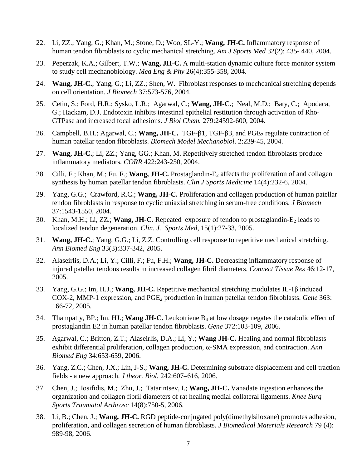- 22. Li, ZZ.; Yang, G.; Khan, M.; Stone, D.; Woo, SL-Y.; **Wang, JH-C.** Inflammatory response of human tendon fibroblasts to cyclic mechanical stretching. *Am J Sports Med* 32(2): 435- 440, 2004.
- 23. Peperzak, K.A.; Gilbert, T.W.; **Wang, JH-C.** A multi-station dynamic culture force monitor system to study cell mechanobiology. *Med Eng & Phy* 26(4):355-358, 2004.
- 24. **Wang, JH-C.**; Yang, G.; Li, ZZ.; Shen, W. Fibroblast responses to mechcanical stretching depends on cell orientation. *J Biomech* 37:573-576, 2004.
- 25. Cetin, S.; Ford, H.R.; Sysko, L.R.; Agarwal, C.; **Wang, JH-C.**; Neal, M.D.; Baty, C.; Apodaca, G.; Hackam, D.J. Endotoxin inhibits intestinal epithelial restitution through activation of Rho-GTPase and increased focal adhesions. *J Biol Chem.* 279:24592-600, 2004.
- 26. Campbell, B.H.; Agarwal, C.; **Wang, JH-C.** TGF-β1, TGF-β3, and PGE<sub>2</sub> regulate contraction of human patellar tendon fibroblasts. *Biomech Model Mechanobiol*. 2:239-45, 2004.
- 27. **Wang, JH-C.**; Li, ZZ.; Yang, GG.; Khan, M. Repetitively stretched tendon fibroblasts produce inflammatory mediators*. CORR* 422:243-250, 2004.
- 28. Cilli, F.; Khan, M.; Fu, F.; **Wang, JH-C.** Prostaglandin-E<sub>2</sub> affects the proliferation of and collagen synthesis by human patellar tendon fibroblasts. *Clin J Sports Medicine* 14(4):232-6, 2004.
- 29. Yang, G.G.; Crawford, R.C.; **Wang, JH-C.** Proliferation and collagen production of human patellar tendon fibroblasts in response to cyclic uniaxial stretching in serum-free conditions. *J Biomech* 37:1543-1550, 2004.
- 30. Khan, M.H.; Li, ZZ.; **Wang, JH-C.** Repeated exposure of tendon to prostaglandin-E<sub>2</sub> leads to localized tendon degeneration. *Clin. J. Sports Med,* 15(1):27-33, 2005.
- 31. **Wang, JH-C.**; Yang, G.G.; Li, Z.Z. Controlling cell response to repetitive mechanical stretching. *Ann Biomed Eng* 33(3):337-342, 2005.
- 32. Alaseirlis, D.A.; Li, Y.; Cilli, F.; Fu, F.H.; **Wang, JH-C.** Decreasing inflammatory response of injured patellar tendons results in increased collagen fibril diameters. *Connect Tissue Res* 46:12-17, 2005.
- 33. Yang, G.G.; Im, H.J.; **Wang, JH-C.** Repetitive mechanical stretching modulates IL-1β induced COX-2, MMP-1 expression, and PGE2 production in human patellar tendon fibroblasts. *Gene* 363: 166-72, 2005.
- 34. Thampatty, BP.; Im, HJ.; **Wang JH-C.** Leukotriene B4 at low dosage negates the catabolic effect of prostaglandin E2 in human patellar tendon fibroblasts. *Gene* 372:103-109, 2006.
- 35. Agarwal, C.; Britton, Z.T.; Alaseirlis, D.A.; Li, Y.; **Wang JH-C.** Healing and normal fibroblasts exhibit differential proliferation, collagen production, α-SMA expression, and contraction. *Ann Biomed Eng* 34:653-659, 2006.
- 36. Yang, Z.C.; Chen, J.X.; Lin, J-S.; **Wang, JH-C.** Determining substrate displacement and cell traction fields - a new approach. *J theor. Biol.* 242:607–616, 2006.
- 37. Chen, J.; Iosifidis, M.; Zhu, J.; Tatarintsev, I.; **Wang, JH-C.** Vanadate ingestion enhances the organization and collagen fibril diameters of rat healing medial collateral ligaments. *Knee Surg Sports Traumatol Arthrosc* 14(8):750-5, 2006.
- 38. Li, B.; Chen, J.; **Wang, JH-C.** RGD peptide-conjugated poly(dimethylsiloxane) promotes adhesion, proliferation, and collagen secretion of human fibroblasts. *J Biomedical Materials Research* 79 (4): 989-98, 2006.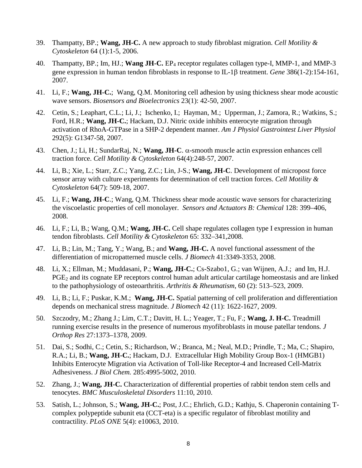- 39. Thampatty, BP.; **Wang, JH-C.** A new approach to study fibroblast migration. *Cell Motility & Cytoskeleton* 64 (1):1-5, 2006.
- 40. Thampatty, BP.; Im, HJ.; **Wang JH-C.** EP4 receptor regulates collagen type-I, MMP-1, and MMP-3 gene expression in human tendon fibroblasts in response to IL-1β treatment. *Gene* 386(1-2):154-161, 2007.
- 41. Li, F.; **Wang, JH-C.**; Wang, Q.M. Monitoring cell adhesion by using thickness shear mode acoustic wave sensors. *Biosensors and Bioelectronics* 23(1): 42-50, 2007.
- 42. Cetin, S.; Leaphart, C.L.; Li, J.; Ischenko, I.; Hayman, M.; Upperman, J.; Zamora, R.; Watkins, S.; Ford, H.R.; **Wang, JH-C.**; Hackam, D.J. Nitric oxide inhibits enterocyte migration through activation of RhoA-GTPase in a SHP-2 dependent manner. *Am J Physiol Gastrointest Liver Physiol* 292(5): G1347-58, 2007.
- 43. Chen, J.; Li, H.; SundarRaj, N.; **Wang, JH-C**. α-smooth muscle actin expression enhances cell traction force. *Cell Motility & Cytoskeleton* 64(4):248-57, 2007.
- 44. Li, B.; Xie, L.; Starr, Z.C.; Yang, Z.C.; Lin, J-S.; **Wang, JH-C**. Development of micropost force sensor array with culture experiments for determination of cell traction forces. *Cell Motility & Cytoskeleton* 64(7): 509-18, 2007.
- 45. Li, F.; **Wang, JH-C**.; Wang, Q.M. Thickness shear mode acoustic wave sensors for characterizing the viscoelastic properties of cell monolayer. *Sensors and Actuators B: Chemical* 128: 399–406, 2008.
- 46. Li, F.; Li, B.; Wang, Q.M.; **Wang, JH-C.** Cell shape regulates collagen type I expression in human tendon fibroblasts. *Cell Motility & Cytoskeleton* 65: 332–341,2008*.*
- 47. Li, B.; Lin, M.; Tang, Y.; Wang, B.; and **Wang, JH-C.** A novel functional assessment of the differentiation of micropatterned muscle cells. *J Biomech* 41:3349-3353, 2008.
- 48. Li, X.; Ellman, M.; Muddasani, P.; **Wang, JH-C.**; Cs-Szabo1, G.; van Wijnen, A.J.; and Im, H.J. PGE<sub>2</sub> and its cognate EP receptors control human adult articular cartilage homeostasis and are linked to the pathophysiology of osteoarthritis. *Arthritis & Rheumatism*, 60 (2): 513–523, 2009.
- 49. Li, B.; Li, F.; Puskar, K.M.; **Wang, JH-C.** Spatial patterning of cell proliferation and differentiation depends on mechanical stress magnitude. *J Biomech* 42 (11): 1622-1627, 2009.
- 50. Szczodry, M.; Zhang J.; Lim, C.T.; Davitt, H. L.; Yeager, T.; Fu, F.; **Wang, J. H-C.** Treadmill running exercise results in the presence of numerous myofibroblasts in mouse patellar tendons*. J Orthop Res* 27:1373–1378, 2009.
- 51. Dai, S.; Sodhi, C.; Cetin, S.; Richardson, W.; Branca, M.; Neal, M.D.; Prindle, T.; Ma, C.; Shapiro, R.A.; Li, B.; **Wang, JH-C.**; Hackam, D.J. Extracellular High Mobility Group Box-1 (HMGB1) Inhibits Enterocyte Migration via Activation of Toll-like Receptor-4 and Increased Cell-Matrix Adhesiveness. *J Biol Chem.* 285:4995-5002, 2010.
- 52. Zhang, J.; **Wang, JH-C.** Characterization of differential properties of rabbit tendon stem cells and tenocytes. *BMC Musculoskeletal Disorders* 11:10, 2010.
- 53. Satish, L.; Johnson, S.; **Wang, JH-C.**; Post, J.C.; Ehrlich, G.D.; Kathju, S. Chaperonin containing Tcomplex polypeptide subunit eta (CCT-eta) is a specific regulator of fibroblast motility and contractility. *PLoS ONE* 5(4): e10063, 2010.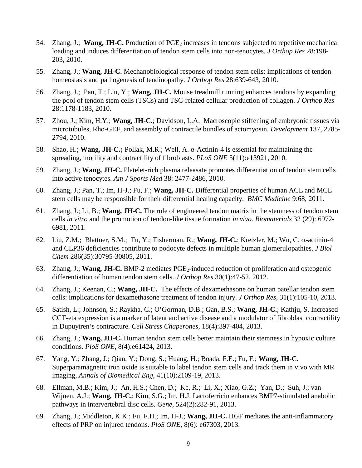- 54. Zhang, J.; **Wang, JH-C.** Production of PGE<sub>2</sub> increases in tendons subjected to repetitive mechanical loading and induces differentiation of tendon stem cells into non-tenocytes. *J Orthop Res* 28:198- 203, 2010.
- 55. Zhang, J.; **Wang, JH-C.** Mechanobiological response of tendon stem cells: implications of tendon homeostasis and pathogenesis of tendinopathy. *J Orthop Res* 28:639-643, 2010.
- 56. Zhang, J.; Pan, T.; Liu, Y.; **Wang, JH-C.** Mouse treadmill running enhances tendons by expanding the pool of tendon stem cells (TSCs) and TSC-related cellular production of collagen. *J Orthop Res*  28:1178-1183, 2010.
- 57. Zhou, J.; Kim, H.Y.; **Wang, JH-C.**; Davidson, L.A. Macroscopic stiffening of embryonic tissues via microtubules, Rho-GEF, and assembly of contractile bundles of actomyosin. *Development* 137, 2785- 2794, 2010.
- 58. Shao, H.; **Wang, JH-C.;** Pollak, M.R.; Well, A. α-Actinin-4 is essential for maintaining the spreading, motility and contractility of fibroblasts. *PLoS ONE* 5(11):e13921, 2010.
- 59. Zhang, J.; **Wang, JH-C.** Platelet-rich plasma releasate promotes differentiation of tendon stem cells into active tenocytes. *Am J Sports Med* 38: 2477-2486, 2010.
- 60. Zhang, J.; Pan, T.; Im, H-J.; Fu, F.; **Wang, JH-C.** Differential properties of human ACL and MCL stem cells may be responsible for their differential healing capacity. *BMC Medicine* 9:68, 2011.
- 61. Zhang, J.; Li, B.; **Wang, JH-C.** The role of engineered tendon matrix in the stemness of tendon stem cells *in vitro* and the promotion of tendon-like tissue formation *in vivo*. *Biomaterials* 32 (29): 6972- 6981, 2011.
- 62. Liu, Z.M.; Blattner, S.M.; Tu, Y.; Tisherman, R.; **Wang, JH-C.**; Kretzler, M.; Wu, C. α-actinin-4 and CLP36 deficiencies contribute to podocyte defects in multiple human glomerulopathies. *J Biol Chem* 286(35):30795-30805, 2011.
- 63. Zhang, J.; **Wang, JH-C.** BMP-2 mediates PGE<sub>2</sub>-induced reduction of proliferation and osteogenic differentiation of human tendon stem cells. *J Orthop Res* 30(1):47-52, 2012*.*
- 64. Zhang, J.; Keenan, C.; **Wang, JH-C.** The effects of dexamethasone on human patellar tendon stem cells: implications for dexamethasone treatment of tendon injury. *J Orthop Res*, 31(1):105-10, 2013.
- 65. Satish, L.; Johnson, S.; Raykha, C.; O'Gorman, D.B.; Gan, B.S.; **Wang, JH-C.**; Kathju, S. Increased CCT-eta expression is a marker of latent and active disease and a modulator of fibroblast contractility in Dupuytren's contracture. *Cell Stress Chaperones,* 18(4):397-404, 2013.
- 66. Zhang, J.; **Wang, JH-C.** Human tendon stem cells better maintain their stemness in hypoxic culture conditions. *PloS ONE*, 8(4):e61424, 2013.
- 67. Yang, Y.; Zhang, J.; Qian, Y.; Dong, S.; Huang, H.; Boada, F.E.; Fu, F.; **Wang, JH-C.** Superparamagnetic iron oxide is suitable to label tendon stem cells and track them in vivo with MR imaging, *Annals of Biomedical Eng*, 41(10):2109-19, 2013.
- 68. Ellman, M.B.; Kim, J.; An, H.S.; Chen, D.; Kc, R.; Li, X.; Xiao, G.Z.; Yan, D.; Suh, J.; van Wijnen, A.J.; **Wang, JH-C.**; Kim, S.G.; Im, H.J. Lactoferricin enhances BMP7-stimulated anabolic pathways in intervertebral disc cells. *Gene*, 524(2):282-91, 2013.
- 69. Zhang, J.; Middleton, K.K.; Fu, F.H.; Im, H-J.; **Wang, JH-C.** HGF mediates the anti-inflammatory effects of PRP on injured tendons. *PloS ONE*, 8(6): e67303, 2013.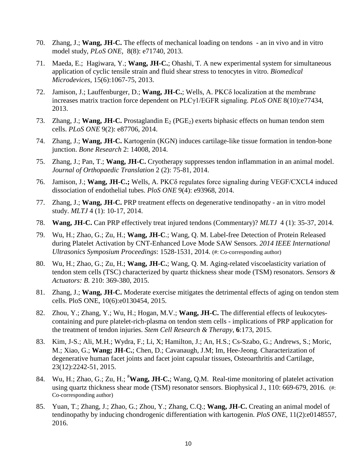- 70. Zhang, J.; **Wang, JH-C.** The effects of mechanical loading on tendons an in vivo and in vitro model study, *PLoS ONE,* 8(8): e71740, 2013.
- 71. Maeda, E.; Hagiwara, Y.; **Wang, JH-C.**; Ohashi, T. A new experimental system for simultaneous application of cyclic tensile strain and fluid shear stress to tenocytes in vitro. *Biomedical Microdevices*, 15(6):1067-75, 2013.
- 72. Jamison, J.; Lauffenburger, D.; **Wang, JH-C.**; Wells, A. PKCδ localization at the membrane increases matrix traction force dependent on PLCγ1/EGFR signaling. *PLoS ONE* 8(10):e77434, 2013.
- 73. Zhang, J.; **Wang, JH-C.** Prostaglandin  $E_2$  (PGE<sub>2</sub>) exerts biphasic effects on human tendon stem cells. *PLoS ONE* 9(2): e87706, 2014.
- 74. Zhang, J.; **Wang, JH-C.** Kartogenin (KGN) induces cartilage-like tissue formation in tendon-bone junction. *Bone Research* 2: 14008, 2014.
- 75. Zhang, J.; Pan, T.; **Wang, JH-C.** Cryotherapy suppresses tendon inflammation in an animal model. *Journal of Orthopaedic Translation* 2 (2): 75-81, 2014.
- 76. Jamison, J.; **Wang, JH-C.;** Wells, A. PKCδ regulates force signaling during VEGF/CXCL4 induced dissociation of endothelial tubes. *PloS ONE* 9(4): e93968, 2014.
- 77. Zhang, J.; **Wang, JH-C.** PRP treatment effects on degenerative tendinopathy an in vitro model study. *MLTJ* 4 (1): 10-17, 2014.
- 78. **Wang, JH-C.** Can PRP effectively treat injured tendons (Commentary)? *MLTJ* 4 (1): 35-37, 2014.
- 79. Wu, H.; Zhao, G.; Zu, H.; **Wang, JH-C**.; Wang, Q. M. Label-free Detection of Protein Released during Platelet Activation by CNT-Enhanced Love Mode SAW Sensors. *2014 IEEE International Ultrasonics Symposium Proceedings*: 1528-1531, 2014. (#: Co-corresponding author)
- 80. Wu, H.; Zhao, G.; Zu, H.; **Wang, JH-C.**; Wang, Q. M. Aging-related viscoelasticity variation of tendon stem cells (TSC) characterized by quartz thickness shear mode (TSM) resonators. *Sensors & Actuators: B.* 210: 369-380, 2015.
- 81. Zhang, J.; **Wang, JH-C.** Moderate exercise mitigates the detrimental effects of aging on tendon stem cells. PloS ONE, 10(6):e0130454, 2015.
- 82. Zhou, Y.; Zhang, Y.; Wu, H.; Hogan, M.V.; **Wang, JH-C.** The differential effects of leukocytescontaining and pure platelet-rich-plasma on tendon stem cells - implications of PRP application for the treatment of tendon injuries. *Stem Cell Research & Therapy*, **6**:173, 2015.
- 83. Kim, J-S.; Ali, M.H.; Wydra, F.; Li, X; Hamilton, J.; An, H.S.; Cs-Szabo, G.; Andrews, S.; Moric, M.; Xiao, G.; **Wang; JH-C.**; Chen, D.; Cavanaugh, J.M; Im, Hee-Jeong. Characterization of degenerative human facet joints and facet joint capsular tissues, Osteoarthritis and Cartilage, 23(12):2242-51, 2015.
- 84. Wu, H.; Zhao, G.; Zu, H.; <sup>#</sup>Wang, JH-C.; Wang, Q.M. Real-time monitoring of platelet activation using quartz thickness shear mode (TSM) resonator sensors. Biophysical J., 110: 669-679, 2016. (#: Co-corresponding author)
- 85. Yuan, T.; Zhang, J.; Zhao, G.; Zhou, Y.; Zhang, C.Q.; **Wang, JH-C.** Creating an animal model of tendinopathy by inducing chondrogenic differentiation with kartogenin. *PloS ONE*, 11(2):e0148557, 2016.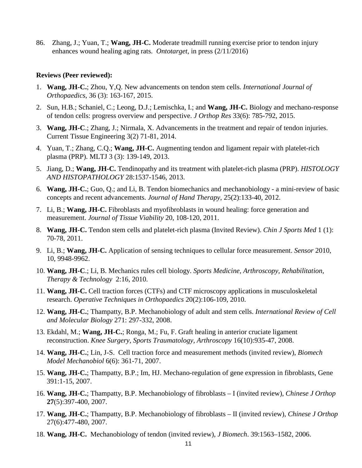86. Zhang, J.; Yuan, T.; **Wang, JH-C.** Moderate treadmill running exercise prior to tendon injury enhances wound healing aging rats. *Ontotarget*, in press (2/11/2016)

#### **Reviews (Peer reviewed):**

- 1. **Wang, JH-C.**; Zhou, Y,Q. New advancements on tendon stem cells. *International Journal of Orthopaedics*, 36 (3): 163-167, 2015.
- 2. Sun, H.B.; Schaniel, C.; Leong, D.J.; Lemischka, I.; and **Wang, JH-C.** Biology and mechano-response of tendon cells: progress overview and perspective. *J Orthop Res* 33(6): 785-792, 2015.
- 3. **Wang, JH-C**.; Zhang, J.; Nirmala, X. Advancements in the treatment and repair of tendon injuries. Current Tissue Engineering 3(2) 71-81, 2014.
- 4. Yuan, T.; Zhang, C.Q.; **Wang, JH-C.** Augmenting tendon and ligament repair with platelet-rich plasma (PRP). MLTJ 3 (3): 139-149, 2013.
- 5. Jiang, D.; **Wang, JH-C.** Tendinopathy and its treatment with platelet-rich plasma (PRP). *HISTOLOGY AND HISTOPATHOLOGY* 28:1537-1546, 2013.
- 6. **Wang, JH-C.**; Guo, Q.; and Li, B. Tendon biomechanics and mechanobiology a mini-review of basic concepts and recent advancements. *Journal of Hand Therapy*, 25(2):133-40, 2012.
- 7. Li, B.; **Wang, JH-C.** Fibroblasts and myofibroblasts in wound healing: force generation and measurement. *Journal of Tissue Viability* 20, 108-120, 2011.
- 8. **Wang, JH-C.** Tendon stem cells and platelet-rich plasma (Invited Review). *Chin J Sports Med* 1 (1): 70-78, 2011.
- 9. Li, B.; **Wang, JH-C.** Application of sensing techniques to cellular force measurement. *Sensor* 2010, 10, 9948-9962.
- 10. **Wang, JH-C**.; Li, B. Mechanics rules cell biology. *Sports Medicine, Arthroscopy, Rehabilitation, Therapy & Technology* 2:16, 2010.
- 11. **Wang, JH-C.** Cell traction forces (CTFs) and CTF microscopy applications in musculoskeletal research. *Operative Techniques in Orthopaedics* 20(2):106-109, 2010.
- 12. **Wang, JH-C.**; Thampatty, B.P. Mechanobiology of adult and stem cells. *International Review of Cell and Molecular Biology* 271: 297-332, 2008.
- 13. Ekdahl, M.; **Wang, JH-C.**; Ronga, M.; Fu, F. Graft healing in anterior cruciate ligament reconstruction. *Knee Surgery, Sports Traumatology, Arthroscopy* 16(10):935-47, 2008.
- 14. **Wang, JH-C.**; Lin, J-S. Cell traction force and measurement methods (invited review), *Biomech Model Mechanobiol* 6(6): 361-71, 2007.
- 15. **Wang, JH-C.**; Thampatty, B.P.; Im, HJ. Mechano-regulation of gene expression in fibroblasts, Gene 391:1-15, 2007.
- 16. **Wang, JH-C.**; Thampatty, B.P. Mechanobiology of fibroblasts I (invited review), *Chinese J Orthop* **27**(5):397-400, 2007.
- 17. **Wang, JH-C.**; Thampatty, B.P. Mechanobiology of fibroblasts II (invited review), *Chinese J Orthop* 27(6):477-480, 2007.
- 18. **Wang, JH-C.** Mechanobiology of tendon (invited review), *J Biomech*. 39:1563–1582, 2006.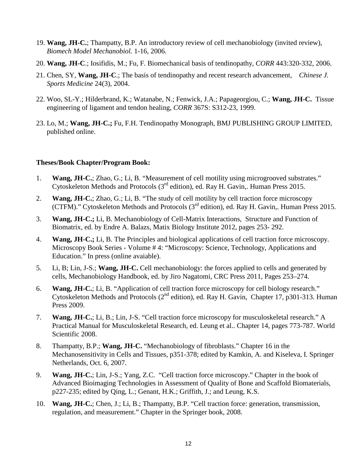- 19. **Wang, JH-C.**; Thampatty, B.P. An introductory review of cell mechanobiology (invited review), *Biomech Model Mechanobiol.* 1-16, 2006.
- 20. **Wang, JH-C**.; Iosifidis, M.; Fu, F. Biomechanical basis of tendinopathy, *CORR* 443:320-332, 2006.
- 21. Chen, SY, **Wang, JH-C**.; The basis of tendinopathy and recent research advancement, *Chinese J. Sports Medicine* 24(3), 2004.
- 22. Woo, SL-Y.; Hilderbrand, K.; Watanabe, N.; Fenwick, J.A.; Papageorgiou, C.; **Wang, JH-C.** Tissue engineering of ligament and tendon healing, *CORR* 367S: S312-23, 1999.
- 23. Lo, M.; **Wang, JH-C.;** Fu, F.H. Tendinopathy Monograph, BMJ PUBLISHING GROUP LIMITED, published online.

#### **Theses/Book Chapter/Program Book:**

- 1. **Wang, JH-C.**; Zhao, G.; Li, B. "Measurement of cell motility using microgrooved substrates." Cytoskeleton Methods and Protocols (3rd edition), ed. Ray H. Gavin,. Human Press 2015.
- 2. **Wang, JH-C.**; Zhao, G.; Li, B. "The study of cell motility by cell traction force microscopy (CTFM)." Cytoskeleton Methods and Protocols  $(3<sup>rd</sup>$  edition), ed. Ray H. Gavin,. Human Press 2015.
- 3. **Wang, JH-C.;** Li, B. Mechanobiology of Cell-Matrix Interactions, Structure and Function of Biomatrix, ed. by Endre A. Balazs, Matix Biology Institute 2012, pages 253- 292.
- 4. **Wang, JH-C.;** Li, B. The Principles and biological applications of cell traction force microscopy. Microscopy Book Series - Volume # 4: "Microscopy: Science, Technology, Applications and Education." In press (online avaiable).
- 5. Li, B; Lin, J-S.; **Wang, JH-C.** Cell mechanobiology: the forces applied to cells and generated by cells, Mechanobiology Handbook, ed. by Jiro Nagatomi, CRC Press 2011, Pages 253–274.
- 6. **Wang, JH-C.**; Li, B. "Application of cell traction force microscopy for cell biology research." Cytoskeleton Methods and Protocols ( $2<sup>nd</sup>$  edition), ed. Ray H. Gavin, Chapter 17, p301-313. Human Press 2009.
- 7. **Wang, JH-C.**; Li, B.; Lin, J-S. "Cell traction force microscopy for musculoskeletal research." A Practical Manual for Musculoskeletal Research, ed. Leung et al.. Chapter 14, pages 773-787. World Scientific 2008.
- 8. Thampatty, B.P.; **Wang, JH-C.** "Mechanobiology of fibroblasts." Chapter 16 in the Mechanosensitivity in Cells and Tissues, p351-378; edited by Kamkin, A. and Kiseleva, I. Springer Netherlands, Oct. 6, 2007.
- 9. **Wang, JH-C.**; Lin, J-S.; Yang, Z.C. "Cell traction force microscopy." Chapter in the book of Advanced Bioimaging Technologies in Assessment of Quality of Bone and Scaffold Biomaterials, p227-235; edited by Qing, L.; Genant, H.K.; Griffith, J.; and Leung, K.S.
- 10. **Wang, JH-C.**; Chen, J.; Li, B.; Thampatty, B.P. "Cell traction force: generation, transmission, regulation, and measurement." Chapter in the Springer book, 2008.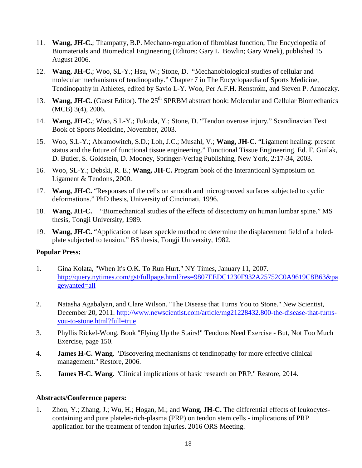- 11. **Wang, JH-C.**; Thampatty, B.P. Mechano-regulation of fibroblast function, The Encyclopedia of Biomaterials and Biomedical Engineering (Editors: Gary L. Bowlin; Gary Wnek), published 15 August 2006.
- 12. **Wang, JH-C.**; Woo, SL-Y.; Hsu, W.; Stone, D. "Mechanobiological studies of cellular and molecular mechanisms of tendinopathy." Chapter 7 in The Encyclopaedia of Sports Medicine, Tendinopathy in Athletes, edited by Savio L-Y. Woo, Per A.F.H. Renström, and Steven P. Arnoczky.
- 13. **Wang, JH-C.** (Guest Editor). The 25<sup>th</sup> SPRBM abstract book: Molecular and Cellular Biomechanics (MCB) 3(4), 2006.
- 14. **Wang, JH-C.**; Woo, S L-Y.; Fukuda, Y.; Stone, D. "Tendon overuse injury." Scandinavian Text Book of Sports Medicine, November, 2003.
- 15. Woo, S.L-Y.; Abramowitch, S.D.; Loh, J.C.; Musahl, V.; **Wang, JH-C.** "Ligament healing: present status and the future of functional tissue engineering." Functional Tissue Engineering. Ed. F. Guilak, D. Butler, S. Goldstein, D. Mooney, Springer-Verlag Publishing, New York, 2:17-34, 2003.
- 16. Woo, SL-Y.; Debski, R. E.; **Wang, JH-C.** Program book of the Interantioanl Symposium on Ligament & Tendons, 2000.
- 17. **Wang, JH-C.** "Responses of the cells on smooth and microgrooved surfaces subjected to cyclic deformations." PhD thesis, University of Cincinnati, 1996.
- 18. **Wang, JH-C.** "Biomechanical studies of the effects of discectomy on human lumbar spine." MS thesis, Tongji University, 1989.
- 19. **Wang, JH-C.** "Application of laser speckle method to determine the displacement field of a holedplate subjected to tension." BS thesis, Tongji University, 1982.

### **Popular Press:**

- 1. Gina Kolata, "When It's O.K. To Run Hurt." NY Times, January 11, 2007. [http://query.nytimes.com/gst/fullpage.html?res=9807EEDC1230F932A25752C0A9619C8B63&pa](http://query.nytimes.com/gst/fullpage.html?res=9807EEDC1230F932A25752C0A9619C8B63&pagewanted=all) [gewanted=all](http://query.nytimes.com/gst/fullpage.html?res=9807EEDC1230F932A25752C0A9619C8B63&pagewanted=all)
- 2. Natasha Agabalyan, and Clare Wilson. "The Disease that Turns You to Stone." New Scientist, December 20, 2011. [http://www.newscientist.com/article/mg21228432.800-the-disease-that-turns](http://www.newscientist.com/article/mg21228432.800-the-disease-that-turns-you-to-stone.html?full=true)[you-to-stone.html?full=true](http://www.newscientist.com/article/mg21228432.800-the-disease-that-turns-you-to-stone.html?full=true)
- 3. Phyllis Rickel-Wong, Book "Flying Up the Stairs!" Tendons Need Exercise But, Not Too Much Exercise, page 150.
- 4. **James H-C. Wang**. "Discovering mechanisms of tendinopathy for more effective clinical management." Restore, 2006.
- 5. **James H-C. Wang**. "Clinical implications of basic research on PRP." Restore, 2014.

### **Abstracts/Conference papers:**

1. Zhou, Y.; Zhang, J.; Wu, H.; Hogan, M.; and **Wang, JH-C.** The differential effects of leukocytescontaining and pure platelet-rich-plasma (PRP) on tendon stem cells - implications of PRP application for the treatment of tendon injuries. 2016 ORS Meeting.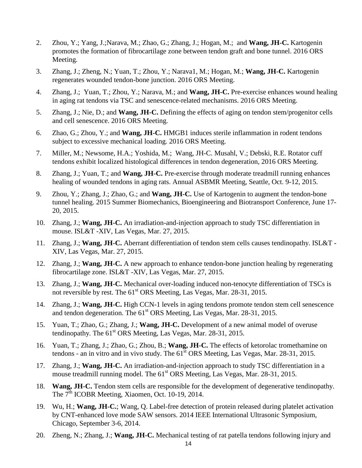- 2. Zhou, Y.; Yang, J.;Narava, M.; Zhao, G.; Zhang, J.; Hogan, M.; and **Wang, JH-C.** Kartogenin promotes the formation of fibrocartilage zone between tendon graft and bone tunnel. 2016 ORS Meeting.
- 3. Zhang, J.; Zheng, N.; Yuan, T.; Zhou, Y.; Narava1, M.; Hogan, M.; **Wang, JH-C.** Kartogenin regenerates wounded tendon-bone junction. 2016 ORS Meeting.
- 4. Zhang, J.; Yuan, T.; Zhou, Y.; Narava, M.; and **Wang, JH-C.** Pre-exercise enhances wound healing in aging rat tendons via TSC and senescence-related mechanisms. 2016 ORS Meeting.
- 5. Zhang, J.; Nie, D.; and **Wang, JH-C.** Defining the effects of aging on tendon stem/progenitor cells and cell senescence. 2016 ORS Meeting.
- 6. Zhao, G.; Zhou, Y.; and **Wang, JH-C.** HMGB1 induces sterile inflammation in rodent tendons subject to excessive mechanical loading. 2016 ORS Meeting.
- 7. Miller, M.; Newsome, H.A.; Yoshida, M.; Wang, JH-C. Musahl, V.; Debski, R.E. Rotator cuff tendons exhibit localized histological differences in tendon degeneration, 2016 ORS Meeting.
- 8. Zhang, J.; Yuan, T.; and **Wang, JH-C.** Pre-exercise through moderate treadmill running enhances healing of wounded tendons in aging rats. Annual ASBMR Meeting, Seattle, Oct. 9-12, 2015.
- 9. Zhou, Y.; Zhang, J.; Zhao, G.; and **Wang, JH-C.** Use of Kartogenin to augment the tendon-bone tunnel healing. 2015 Summer Biomechanics, Bioengineering and Biotransport Conference, June 17- 20, 2015.
- 10. Zhang, J.; **Wang, JH-C.** An irradiation-and-injection approach to study TSC differentiation in mouse. ISL&T -XIV, Las Vegas, Mar. 27, 2015.
- 11. Zhang, J.; **Wang, JH-C.** Aberrant differentiation of tendon stem cells causes tendinopathy. ISL&T XIV, Las Vegas, Mar. 27, 2015.
- 12. Zhang, J.; **Wang, JH-C.** A new approach to enhance tendon-bone junction healing by regenerating fibrocartilage zone. ISL&T -XIV, Las Vegas, Mar. 27, 2015.
- 13. Zhang, J.; **Wang, JH-C.** Mechanical over-loading induced non-tenocyte differentiation of TSCs is not reversible by rest. The 61<sup>st</sup> ORS Meeting, Las Vegas, Mar. 28-31, 2015.
- 14. Zhang, J.; **Wang, JH-C.** High CCN-1 levels in aging tendons promote tendon stem cell senescence and tendon degeneration. The  $61<sup>st</sup> ORS$  Meeting, Las Vegas, Mar. 28-31, 2015.
- 15. Yuan, T.; Zhao, G.; Zhang, J.; **Wang, JH-C.** Development of a new animal model of overuse tendinopathy. The  $61<sup>st</sup> ORS$  Meeting, Las Vegas, Mar. 28-31, 2015.
- 16. Yuan, T.; Zhang, J.; Zhao, G.; Zhou, B.; **Wang, JH-C.** The effects of ketorolac tromethamine on tendons - an in vitro and in vivo study. The  $61<sup>st</sup>$  ORS Meeting, Las Vegas, Mar. 28-31, 2015.
- 17. Zhang, J.; **Wang, JH-C.** An irradiation-and-injection approach to study TSC differentiation in a mouse treadmill running model. The  $61<sup>st</sup> ORS$  Meeting, Las Vegas, Mar. 28-31, 2015.
- 18. **Wang, JH-C.** Tendon stem cells are responsible for the development of degenerative tendinopathy. The 7<sup>th</sup> ICOBR Meeting, Xiaomen, Oct. 10-19, 2014.
- 19. Wu, H.; **Wang, JH-C.**; Wang, Q. Label-free detection of protein released during platelet activation by CNT-enhanced love mode SAW sensors. 2014 IEEE International Ultrasonic Symposium, Chicago, September 3-6, 2014.
- 20. Zheng, N.; Zhang, J.; **Wang, JH-C.** Mechanical testing of rat patella tendons following injury and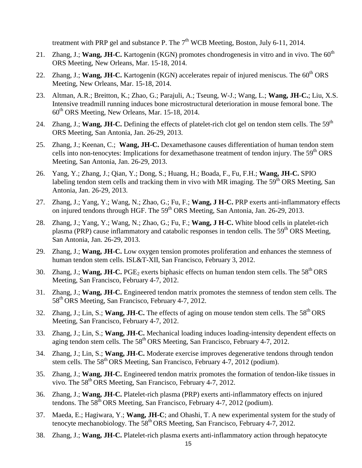treatment with PRP gel and substance P. The  $7<sup>th</sup>$  WCB Meeting, Boston, July 6-11, 2014.

- 21. Zhang, J.; Wang, JH-C. Kartogenin (KGN) promotes chondrogenesis in vitro and in vivo. The 60<sup>th</sup> ORS Meeting, New Orleans, Mar. 15-18, 2014.
- 22. Zhang, J.; **Wang, JH-C.** Kartogenin (KGN) accelerates repair of injured meniscus. The 60<sup>th</sup> ORS Meeting, New Orleans, Mar. 15-18, 2014.
- 23. Altman, A.R.; Breitton, K.; Zhao, G.; Parajuli, A.; Tseung, W-J.; Wang, L.; **Wang, JH-C.**; Liu, X.S. Intensive treadmill running induces bone microstructural deterioration in mouse femoral bone. The  $60<sup>th</sup>$  ORS Meeting, New Orleans, Mar. 15-18, 2014.
- 24. Zhang, J.; Wang, JH-C. Defining the effects of platelet-rich clot gel on tendon stem cells. The 59<sup>th</sup> ORS Meeting, San Antonia, Jan. 26-29, 2013.
- 25. Zhang, J.; Keenan, C.; **Wang, JH-C.** Dexamethasone causes differentiation of human tendon stem cells into non-tenocytes: Implications for dexamethasone treatment of tendon injury. The 59<sup>th</sup> ORS Meeting, San Antonia, Jan. 26-29, 2013.
- 26. Yang, Y.; Zhang, J.; Qian, Y.; Dong, S.; Huang, H.; Boada, F., Fu, F.H.; **Wang, JH-C.** SPIO labeling tendon stem cells and tracking them in vivo with MR imaging. The 59<sup>th</sup> ORS Meeting, San Antonia, Jan. 26-29, 2013.
- 27. Zhang, J.; Yang, Y.; Wang, N.; Zhao, G.; Fu, F.; **Wang, J H-C.** PRP exerts anti-inflammatory effects on injured tendons through HGF. The 59<sup>th</sup> ORS Meeting, San Antonia, Jan. 26-29, 2013.
- 28. Zhang, J.; Yang, Y.; Wang, N.; Zhao, G.; Fu, F.; **Wang, J H-C.** White blood cells in platelet-rich plasma (PRP) cause inflammatory and catabolic responses in tendon cells. The 59<sup>th</sup> ORS Meeting, San Antonia, Jan. 26-29, 2013.
- 29. Zhang, J.; **Wang, JH-C.** Low oxygen tension promotes proliferation and enhances the stemness of human tendon stem cells. ISL&T-XII, San Francisco, February 3, 2012.
- 30. Zhang, J.; **Wang, JH-C.** PGE<sub>2</sub> exerts biphasic effects on human tendon stem cells. The 58<sup>th</sup> ORS Meeting, San Francisco, February 4-7, 2012.
- 31. Zhang, J.; **Wang, JH-C.** Engineered tendon matrix promotes the stemness of tendon stem cells. The 58th ORS Meeting, San Francisco, February 4-7, 2012.
- 32. Zhang, J.; Lin, S.; **Wang, JH-C.** The effects of aging on mouse tendon stem cells. The 58<sup>th</sup> ORS Meeting, San Francisco, February 4-7, 2012.
- 33. Zhang, J.; Lin, S.; **Wang, JH-C.** Mechanical loading induces loading-intensity dependent effects on aging tendon stem cells. The  $58<sup>th</sup> ORS$  Meeting, San Francisco, February 4-7, 2012.
- 34. Zhang, J.; Lin, S.; **Wang, JH-C.** Moderate exercise improves degenerative tendons through tendon stem cells. The  $58<sup>th</sup> ORS$  Meeting, San Francisco, February 4-7, 2012 (podium).
- 35. Zhang, J.; **Wang, JH-C.** Engineered tendon matrix promotes the formation of tendon-like tissues in vivo. The 58<sup>th</sup> ORS Meeting, San Francisco, February 4-7, 2012.
- 36. Zhang, J.; **Wang, JH-C.** Platelet-rich plasma (PRP) exerts anti-inflammatory effects on injured tendons. The 58<sup>th</sup> ORS Meeting, San Francisco, February 4-7, 2012 (podium).
- 37. Maeda, E.; Hagiwara, Y.; **Wang, JH-C**; and Ohashi, T. A new experimental system for the study of tenocyte mechanobiology. The  $58<sup>th</sup> ORS$  Meeting, San Francisco, February 4-7, 2012.
- 38. Zhang, J.; **Wang, JH-C.** Platelet-rich plasma exerts anti-inflammatory action through hepatocyte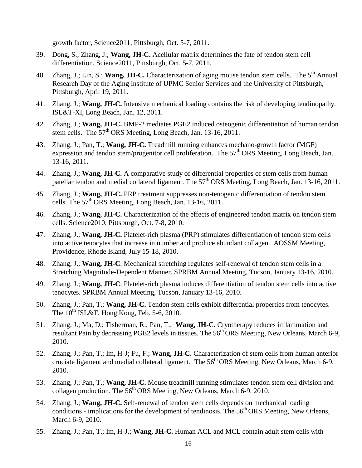growth factor, Science2011, Pittsburgh, Oct. 5-7, 2011.

- 39. Dong, S.; Zhang, J.; **Wang, JH-C.** Acellular matrix determines the fate of tendon stem cell differentiation, Science2011, Pittsburgh, Oct. 5-7, 2011.
- 40. Zhang, J.; Lin, S.; Wang, JH-C. Characterization of aging mouse tendon stem cells. The 5<sup>th</sup> Annual Research Day of the Aging Institute of UPMC Senior Services and the University of Pittsburgh, Pittsburgh, April 19, 2011.
- 41. Zhang, J.; **Wang, JH-C.** Intensive mechanical loading contains the risk of developing tendinopathy. ISL&T-XI, Long Beach, Jan. 12, 2011.
- 42. Zhang, J.; **Wang, JH-C.** BMP-2 mediates PGE2 induced osteogenic differentiation of human tendon stem cells. The 57<sup>th</sup> ORS Meeting, Long Beach, Jan. 13-16, 2011.
- 43. Zhang, J.; Pan, T.; **Wang, JH-C.** Treadmill running enhances mechano-growth factor (MGF) expression and tendon stem/progenitor cell proliferation. The 57<sup>th</sup> ORS Meeting, Long Beach, Jan. 13-16, 2011.
- 44. Zhang, J.; **Wang, JH-C.** A comparative study of differential properties of stem cells from human patellar tendon and medial collateral ligament. The 57<sup>th</sup> ORS Meeting, Long Beach, Jan. 13-16, 2011.
- 45. Zhang, J.; **Wang, JH-C.** PRP treatment suppresses non-tenogenic differentiation of tendon stem cells. The  $57<sup>th</sup> ORS$  Meeting, Long Beach, Jan. 13-16, 2011.
- 46. Zhang, J.; **Wang, JH-C.** Characterization of the effects of engineered tendon matrix on tendon stem cells. Science2010, Pittsburgh, Oct. 7-8, 2010.
- 47. Zhang, J.; **Wang, JH-C.** Platelet-rich plasma (PRP) stimulates differentiation of tendon stem cells into active tenocytes that increase in number and produce abundant collagen. AOSSM Meeting, Providence, Rhode Island, July 15-18, 2010.
- 48. Zhang, J.; **Wang, JH-C**. Mechanical stretching regulates self-renewal of tendon stem cells in a Stretching Magnitude-Dependent Manner. SPRBM Annual Meeting, Tucson, January 13-16, 2010.
- 49. Zhang, J.; **Wang, JH-C**. Platelet-rich plasma induces differentiation of tendon stem cells into active tenocytes. SPRBM Annual Meeting, Tucson, January 13-16, 2010.
- 50. Zhang, J.; Pan, T.; **Wang, JH-C.** Tendon stem cells exhibit differential properties from tenocytes. The  $10^{th}$  ISL&T, Hong Kong, Feb. 5-6, 2010.
- 51. Zhang, J.; Ma, D.; Tisherman, R.; Pan, T.; **Wang, JH-C.** Cryotherapy reduces inflammation and resultant Pain by decreasing PGE2 levels in tissues. The 56<sup>th</sup> ORS Meeting, New Orleans, March 6-9, 2010.
- 52. Zhang, J.; Pan, T.; Im, H-J; Fu, F.; **Wang, JH-C.** Characterization of stem cells from human anterior cruciate ligament and medial collateral ligament. The 56<sup>th</sup> ORS Meeting, New Orleans, March 6-9, 2010.
- 53. Zhang, J.; Pan, T.; **Wang, JH-C.** Mouse treadmill running stimulates tendon stem cell division and collagen production. The  $56<sup>th</sup>$  ORS Meeting, New Orleans, March 6-9, 2010.
- 54. Zhang, J.; **Wang, JH-C.** Self-renewal of tendon stem cells depends on mechanical loading conditions - implications for the development of tendinosis. The  $56<sup>th</sup> ORS$  Meeting, New Orleans, March 6-9, 2010.
- 55. Zhang, J.; Pan, T.; Im, H-J.; **Wang, JH-C**. Human ACL and MCL contain adult stem cells with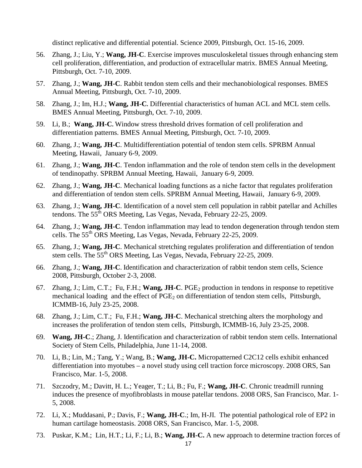distinct replicative and differential potential. Science 2009, Pittsburgh, Oct. 15-16, 2009.

- 56. Zhang, J.; Liu, Y.; **Wang, JH-C**. Exercise improves musculoskeletal tissues through enhancing stem cell proliferation, differentiation, and production of extracellular matrix. BMES Annual Meeting, Pittsburgh, Oct. 7-10, 2009.
- 57. Zhang, J.; **Wang, JH-C**. Rabbit tendon stem cells and their mechanobiological responses. BMES Annual Meeting, Pittsburgh, Oct. 7-10, 2009.
- 58. Zhang, J.; Im, H.J.; **Wang, JH-C.** Differential characteristics of human ACL and MCL stem cells. BMES Annual Meeting, Pittsburgh, Oct. 7-10, 2009.
- 59. Li, B.; **Wang, JH-C.** Window stress threshold drives formation of cell proliferation and differentiation patterns. BMES Annual Meeting, Pittsburgh, Oct. 7-10, 2009.
- 60. Zhang, J.; **Wang, JH-C**. Multidifferentiation potential of tendon stem cells. SPRBM Annual Meeting, Hawaii, January 6-9, 2009.
- 61. Zhang, J.; **Wang, JH-C**. Tendon inflammation and the role of tendon stem cells in the development of tendinopathy. SPRBM Annual Meeting, Hawaii, January 6-9, 2009.
- 62. Zhang, J.; **Wang, JH-C**. Mechanical loading functions as a niche factor that regulates proliferation and differentiation of tendon stem cells. SPRBM Annual Meeting, Hawaii, January 6-9, 2009.
- 63. Zhang, J.; **Wang, JH-C**. Identification of a novel stem cell population in rabbit patellar and Achilles tendons. The 55<sup>th</sup> ORS Meeting, Las Vegas, Nevada, February 22-25, 2009.
- 64. Zhang, J.; **Wang, JH-C**. Tendon inflammation may lead to tendon degeneration through tendon stem cells. The 55th ORS Meeting, Las Vegas, Nevada, February 22-25, 2009.
- 65. Zhang, J.; **Wang, JH-C**. Mechanical stretching regulates proliferation and differentiation of tendon stem cells. The 55<sup>th</sup> ORS Meeting, Las Vegas, Nevada, February 22-25, 2009.
- 66. Zhang, J.; **Wang, JH-C**. Identification and characterization of rabbit tendon stem cells, Science 2008, Pittsburgh, October 2-3, 2008.
- 67. Zhang, J.; Lim, C.T.; Fu, F.H.; **Wang, JH-C**. PGE2 production in tendons in response to repetitive mechanical loading and the effect of  $PGE<sub>2</sub>$  on differentiation of tendon stem cells, Pittsburgh, ICMMB-16, July 23-25, 2008.
- 68. Zhang, J.; Lim, C.T.; Fu, F.H.; **Wang, JH-C**. Mechanical stretching alters the morphology and increases the proliferation of tendon stem cells, Pittsburgh, ICMMB-16, July 23-25, 2008.
- 69. **Wang, JH-C**.; Zhang, J. Identification and characterization of rabbit tendon stem cells. International Society of Stem Cells, Philadelphia, June 11-14, 2008.
- 70. Li, B.; Lin, M.; Tang, Y.; Wang, B.; **Wang, JH-C.** Micropatterned C2C12 cells exhibit enhanced differentiation into myotubes – a novel study using cell traction force microscopy. 2008 ORS, San Francisco, Mar. 1-5, 2008.
- 71. Szczodry, M.; Davitt, H. L.; Yeager, T.; Li, B.; Fu, F.; **Wang, JH-C**. Chronic treadmill running induces the presence of myofibroblasts in mouse patellar tendons. 2008 ORS, San Francisco, Mar. 1- 5, 2008.
- 72. Li, X.; Muddasani, P.; Davis, F.; **Wang, JH-C**.; Im, H-JI. The potential pathological role of EP2 in human cartilage homeostasis. 2008 ORS, San Francisco, Mar. 1-5, 2008.
- 73. Puskar, K.M.; Lin, H.T.; Li, F.; Li, B.; **Wang, JH-C.** A new approach to determine traction forces of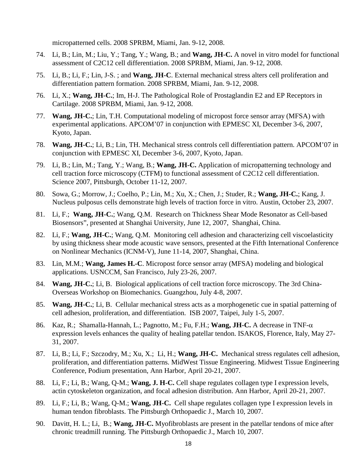micropatterned cells. 2008 SPRBM, Miami, Jan. 9-12, 2008.

- 74. Li, B.; Lin, M.; Liu, Y.; Tang, Y.; Wang, B.; and **Wang, JH-C.** A novel in vitro model for functional assessment of C2C12 cell differentiation. 2008 SPRBM, Miami, Jan. 9-12, 2008.
- 75. Li, B.; Li, F.; Lin, J-S. ; and **Wang, JH-C**. External mechanical stress alters cell proliferation and differentiation pattern formation. 2008 SPRBM, Miami, Jan. 9-12, 2008.
- 76. Li, X.; **Wang, JH-C.**; Im, H-J. The Pathological Role of Prostaglandin E2 and EP Receptors in Cartilage. 2008 SPRBM, Miami, Jan. 9-12, 2008.
- 77. **Wang, JH-C.**; Lin, T.H. Computational modeling of micropost force sensor array (MFSA) with experimental applications. APCOM'07 in conjunction with EPMESC XI, December 3-6, 2007, Kyoto, Japan.
- 78. **Wang, JH-C.**; Li, B.; Lin, TH. Mechanical stress controls cell differentiation pattern. APCOM'07 in conjunction with EPMESC XI, December 3-6, 2007, Kyoto, Japan.
- 79. Li, B.; Lin, M.; Tang, Y.; Wang, B.; **Wang, JH-C.** Application of micropatterning technology and cell traction force microscopy (CTFM) to functional assessment of C2C12 cell differentiation. Science 2007, Pittsburgh, October 11-12, 2007.
- 80. Sowa, G.; Morrow, J.; Coelho, P.; Lin, M.; Xu, X.; Chen, J.; Studer, R.; **Wang, JH-C.**; Kang, J. Nucleus pulposus cells demonstrate high levels of traction force in vitro. Austin, October 23, 2007.
- 81. Li, F.; **Wang, JH-C.**; Wang, Q.M. Research on Thickness Shear Mode Resonator as Cell-based Biosensors", presented at Shanghai University, June 12, 2007, Shanghai, China.
- 82. Li, F.; **Wang, JH-C.**; Wang, Q.M. Monitoring cell adhesion and characterizing cell viscoelasticity by using thickness shear mode acoustic wave sensors, presented at the Fifth International Conference on Nonlinear Mechanics (ICNM-V), June 11-14, 2007, Shanghai, China.
- 83. Lin, M.M.; **Wang, James H.-C**. Micropost force sensor array (MFSA) modeling and biological applications. USNCCM, San Francisco, July 23-26, 2007.
- 84. **Wang, JH-C.**; Li, B. Biological applications of cell traction force microscopy. The 3rd China-Overseas Workshop on Biomechanics. Guangzhou, July 4-8, 2007.
- 85. **Wang, JH-C.**; Li, B. Cellular mechanical stress acts as a morphogenetic cue in spatial patterning of cell adhesion, proliferation, and differentiation. ISB 2007, Taipei, July 1-5, 2007.
- 86. Kaz, R.; Shamalla-Hannah, L.; Pagnotto, M.; Fu, F.H.; **Wang, JH-C.** A decrease in TNF-α expression levels enhances the quality of healing patellar tendon. ISAKOS, Florence, Italy, May 27- 31, 2007.
- 87. Li, B.; Li, F.; Szczodry, M.; Xu, X.; Li, H.; **Wang, JH-C.** Mechanical stress regulates cell adhesion, proliferation, and differentiation patterns. MidWest Tissue Engineering. Midwest Tissue Engineering Conference, Podium presentation, Ann Harbor, April 20-21, 2007.
- 88. Li, F.; Li, B.; Wang, Q-M.; **Wang, J. H-C.** Cell shape regulates collagen type I expression levels, actin cytoskeleton organization, and focal adhesion distribution. Ann Harbor, April 20-21, 2007.
- 89. Li, F.; Li, B.; Wang, Q-M.; **Wang, JH-C.** Cell shape regulates collagen type I expression levels in human tendon fibroblasts. The Pittsburgh Orthopaedic J., March 10, 2007.
- 90. Davitt, H. L.; Li, B.; **Wang, JH-C.** Myofibroblasts are present in the patellar tendons of mice after chronic treadmill running. The Pittsburgh Orthopaedic J., March 10, 2007.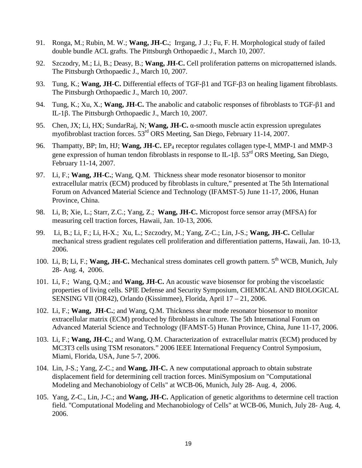- 91. Ronga, M.; Rubin, M. W.; **Wang, JH-C.**; Irrgang, J .J.; Fu, F. H. Morphological study of failed double bundle ACL grafts. The Pittsburgh Orthopaedic J., March 10, 2007.
- 92. Szczodry, M.; Li, B.; Deasy, B.; **Wang, JH-C.** Cell proliferation patterns on micropatterned islands. The Pittsburgh Orthopaedic J., March 10, 2007.
- 93. Tung, K.; **Wang, JH-C.** Differential effects of TGF-β1 and TGF-β3 on healing ligament fibroblasts. The Pittsburgh Orthopaedic J., March 10, 2007.
- 94. Tung, K.; Xu, X.; **Wang, JH-C.** The anabolic and catabolic responses of fibroblasts to TGF-β1 and IL-1β. The Pittsburgh Orthopaedic J., March 10, 2007.
- 95. Chen, JX; Li, HX; SundarRaj, N; **Wang, JH-C.** α-smooth muscle actin expression upregulates myofibroblast traction forces. 53rd ORS Meeting, San Diego, February 11-14, 2007.
- 96. Thampatty, BP; Im, HJ; **Wang, JH-C.** EP4 receptor regulates collagen type-I, MMP-1 and MMP-3 gene expression of human tendon fibroblasts in response to IL-1β. 53rd ORS Meeting, San Diego, February 11-14, 2007.
- 97. Li, F.; **Wang, JH-C.**; Wang, Q.M. Thickness shear mode resonator biosensor to monitor extracellular matrix (ECM) produced by fibroblasts in culture," presented at The 5th International Forum on Advanced Material Science and Technology (IFAMST-5) June 11-17, 2006, Hunan Province, China.
- 98. Li, B; Xie, L.; Starr, Z.C.; Yang, Z.; **Wang, JH-C.** Micropost force sensor array (MFSA) for measuring cell traction forces, Hawaii, Jan. 10-13, 2006.
- 99. Li, B.; Li, F.; Li, H-X.; Xu, L.; Szczodry, M.; Yang, Z-C.; Lin, J-S.; **Wang, JH-C.** Cellular mechanical stress gradient regulates cell proliferation and differentiation patterns, Hawaii, Jan. 10-13, 2006.
- 100. Li, B; Li, F.; **Wang, JH-C.** Mechanical stress dominates cell growth pattern. 5<sup>th</sup> WCB, Munich, July 28- Aug. 4, 2006.
- 101. Li, F.; Wang, Q.M.; and **Wang, JH-C.** An acoustic wave biosensor for probing the viscoelastic properties of living cells. SPIE Defense and Security Symposium, CHEMICAL AND BIOLOGICAL SENSING VII (OR42), Orlando (Kissimmee), Florida, April 17 – 21, 2006.
- 102. Li, F.; **Wang, JH-C.**; and Wang, Q.M. Thickness shear mode resonator biosensor to monitor extracellular matrix (ECM) produced by fibroblasts in culture. The 5th International Forum on Advanced Material Science and Technology (IFAMST-5) Hunan Province, China, June 11-17, 2006.
- 103. Li, F.; **Wang, JH-C.**; and Wang, Q.M. Characterization of extracellular matrix (ECM) produced by MC3T3 cells using TSM resonators." 2006 IEEE International Frequency Control Symposium, Miami, Florida, USA, June 5-7, 2006.
- 104. Lin, J-S.; Yang, Z-C.; and **Wang, JH-C.** A new computational approach to obtain substrate displacement field for determining cell traction forces. MiniSymposium on "Computational Modeling and Mechanobiology of Cells" at WCB-06, Munich, July 28- Aug. 4, 2006.
- 105. Yang, Z-C., Lin, J-C.; and **Wang, JH-C.** Application of genetic algorithms to determine cell traction field. "Computational Modeling and Mechanobiology of Cells" at WCB-06, Munich, July 28- Aug. 4, 2006.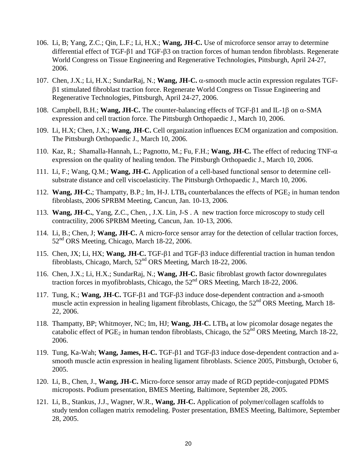- 106. Li, B; Yang, Z.C.; Qin, L.F.; Li, H.X.; **Wang, JH-C.** Use of microforce sensor array to determine differential effect of TGF-β1 and TGF-β3 on traction forces of human tendon fibroblasts. Regenerate World Congress on Tissue Engineering and Regenerative Technologies, Pittsburgh, April 24-27, 2006.
- 107. Chen, J.X.; Li, H.X.; SundarRaj, N.; **Wang, JH-C.** α-smooth mucle actin expression regulates TGFβ1 stimulated fibroblast traction force. Regenerate World Congress on Tissue Engineering and Regenerative Technologies, Pittsburgh, April 24-27, 2006.
- 108. Campbell, B.H.; **Wang, JH-C.** The counter-balancing effects of TGF-β1 and IL-1β on α-SMA expression and cell traction force. The Pittsburgh Orthopaedic J., March 10, 2006.
- 109. Li, H.X; Chen, J.X.; **Wang, JH-C.** Cell organization influences ECM organization and composition. The Pittsburgh Orthopaedic J., March 10, 2006.
- 110. Kaz, R.; Shamalla-Hannah, L.; Pagnotto, M.; Fu, F.H.; **Wang, JH-C.** The effect of reducing TNF-α expression on the quality of healing tendon. The Pittsburgh Orthopaedic J., March 10, 2006.
- 111. Li, F.; Wang, Q.M.; **Wang, JH-C.** Application of a cell-based functional sensor to determine cellsubstrate distance and cell viscoelasticity. The Pittsburgh Orthopaedic J., March 10, 2006.
- 112. **Wang, JH-C.**; Thampatty, B.P.; Im, H-J. LTB<sub>4</sub> counterbalances the effects of PGE<sub>2</sub> in human tendon fibroblasts, 2006 SPRBM Meeting, Cancun, Jan. 10-13, 2006.
- 113. **Wang, JH-C.**, Yang, Z.C., Chen, , J.X. Lin, J-S . A new traction force microscopy to study cell contractility, 2006 SPRBM Meeting, Cancun, Jan. 10-13, 2006.
- 114. Li, B.; Chen, J; **Wang, JH-C.** A micro-force sensor array for the detection of cellular traction forces, 52nd ORS Meeting, Chicago, March 18-22, 2006.
- 115. Chen, JX; Li, HX; **Wang, JH-C.** TGF-β1 and TGF-β3 induce differential traction in human tendon fibroblasts, Chicago, March, 52<sup>nd</sup> ORS Meeting, March 18-22, 2006.
- 116. Chen, J.X.; Li, H.X.; SundarRaj, N.; **Wang, JH-C.** Basic fibroblast growth factor downregulates traction forces in myofibroblasts, Chicago, the 52<sup>nd</sup> ORS Meeting, March 18-22, 2006.
- 117. Tung, K.; **Wang, JH-C.** TGF-β1 and TGF-β3 induce dose-dependent contraction and a-smooth muscle actin expression in healing ligament fibroblasts, Chicago, the  $52<sup>nd</sup> ORS$  Meeting, March 18-22, 2006.
- 118. Thampatty, BP; Whitmoyer, NC; Im, HJ; **Wang, JH-C.** LTB4 at low picomolar dosage negates the catabolic effect of PGE<sub>2</sub> in human tendon fibroblasts, Chicago, the  $52<sup>nd</sup> ORS$  Meeting, March 18-22, 2006.
- 119. Tung, Ka-Wah; **Wang, James, H-C.** TGF-β1 and TGF-β3 induce dose-dependent contraction and asmooth muscle actin expression in healing ligament fibroblasts. Science 2005, Pittsburgh, October 6, 2005.
- 120. Li, B., Chen, J., **Wang, JH-C.** Micro-force sensor array made of RGD peptide-conjugated PDMS microposts. Podium presentation, BMES Meeting, Baltimore, September 28, 2005.
- 121. Li, B., Stankus, J.J., Wagner, W.R., **Wang, JH-C.** Application of polymer/collagen scaffolds to study tendon collagen matrix remodeling. Poster presentation, BMES Meeting, Baltimore, September 28, 2005.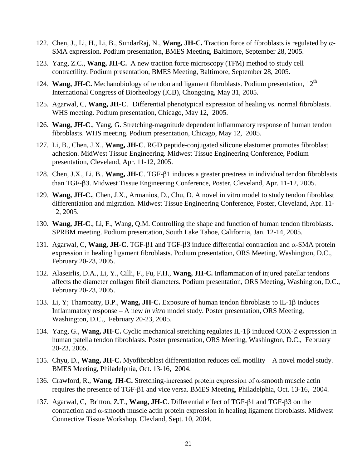- 122. Chen, J., Li, H., Li, B., SundarRaj, N., **Wang, JH-C.** Traction force of fibroblasts is regulated by α-SMA expression. Podium presentation, BMES Meeting, Baltimore, September 28, 2005.
- 123. Yang, Z.C., **Wang, JH-C.** A new traction force microscopy (TFM) method to study cell contractility. Podium presentation, BMES Meeting, Baltimore, September 28, 2005.
- 124. **Wang, JH-C.** Mechanobiology of tendon and ligament fibroblasts. Podium presentation, 12<sup>th</sup> International Congress of Biorheology (ICB), Chongqing, May 31, 2005.
- 125. Agarwal, C, **Wang, JH-C**. Differential phenotypical expression of healing vs. normal fibroblasts. WHS meeting. Podium presentation, Chicago, May 12, 2005.
- 126. **Wang, JH-C**., Yang, G. Stretching-magnitude dependent inflammatory response of human tendon fibroblasts. WHS meeting. Podium presentation, Chicago, May 12, 2005.
- 127. Li, B., Chen, J.X., **Wang, JH-C**. RGD peptide-conjugated silicone elastomer promotes fibroblast adhesion. MidWest Tissue Engineering. Midwest Tissue Engineering Conference, Podium presentation, Cleveland, Apr. 11-12, 2005.
- 128. Chen, J.X., Li, B., **Wang, JH-C**. TGF-β1 induces a greater prestress in individual tendon fibroblasts than TGF-β3. Midwest Tissue Engineering Conference, Poster, Cleveland, Apr. 11-12, 2005.
- 129. **Wang, JH-C.**, Chen, J.X., Armanios, D., Chu, D. A novel in vitro model to study tendon fibroblast differentiation and migration. Midwest Tissue Engineering Conference, Poster, Cleveland, Apr. 11- 12, 2005.
- 130. **Wang, JH-C**., Li, F., Wang, Q.M. Controlling the shape and function of human tendon fibroblasts. SPRBM meeting. Podium presentation, South Lake Tahoe, California, Jan. 12-14, 2005.
- 131. Agarwal, C, **Wang, JH-C**. TGF-β1 and TGF-β3 induce differential contraction and α-SMA protein expression in healing ligament fibroblasts. Podium presentation, ORS Meeting, Washington, D.C., February 20-23, 2005.
- 132. Alaseirlis, D.A., Li, Y., Cilli, F., Fu, F.H., **Wang, JH-C.** Inflammation of injured patellar tendons affects the diameter collagen fibril diameters. Podium presentation, ORS Meeting, Washington, D.C., February 20-23, 2005.
- 133. Li, Y; Thampatty, B.P., **Wang, JH-C.** Exposure of human tendon fibroblasts to IL-1β induces Inflammatory response – A new *in vitro* model study. Poster presentation, ORS Meeting, Washington, D.C., February 20-23, 2005.
- 134. Yang, G., **Wang, JH-C.** Cyclic mechanical stretching regulates IL-1β induced COX-2 expression in human patella tendon fibroblasts. Poster presentation, ORS Meeting, Washington, D.C., February 20-23, 2005.
- 135. Chyu, D., **Wang, JH-C.** Myofibroblast differentiation reduces cell motility A novel model study. BMES Meeting, Philadelphia, Oct. 13-16, 2004.
- 136. Crawford, R., **Wang, JH-C.** Stretching-increased protein expression of α-smooth muscle actin requires the presence of TGF-β1 and vice versa. BMES Meeting, Philadelphia, Oct. 13-16, 2004.
- 137. Agarwal, C, Britton, Z.T., **Wang, JH-C**. Differential effect of TGF-β1 and TGF-β3 on the contraction and α-smooth muscle actin protein expression in healing ligament fibroblasts. Midwest Connective Tissue Workshop, Clevland, Sept. 10, 2004.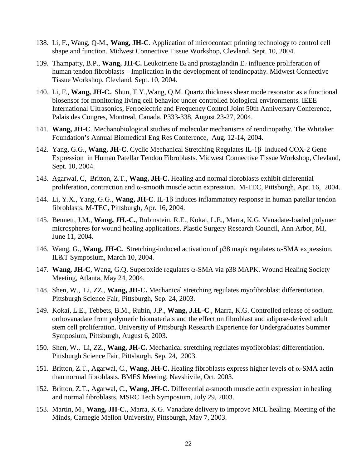- 138. Li, F., Wang, Q-M., **Wang, JH-C**. Application of microcontact printing technology to control cell shape and function. Midwest Connective Tissue Workshop, Clevland, Sept. 10, 2004.
- 139. Thampatty, B.P., Wang, JH-C. Leukotriene B<sub>4</sub> and prostaglandin E<sub>2</sub> influence proliferation of human tendon fibroblasts – Implication in the development of tendinopathy. Midwest Connective Tissue Workshop, Clevland, Sept. 10, 2004.
- 140. Li, F., **Wang, JH-C.**, Shun, T.Y.,Wang, Q.M. Quartz thickness shear mode resonator as a functional biosensor for monitoring living cell behavior under controlled biological environments. IEEE International Ultrasonics, Ferroelectric and Frequency Control Joint 50th Anniversary Conference, Palais des Congres, Montreal, Canada. P333-338, August 23-27, 2004.
- 141. **Wang, JH-C**. Mechanobiological studies of molecular mechanisms of tendinopathy. The Whitaker Foundation's Annual Biomedical Eng Res Conference, Aug. 12-14, 2004.
- 142. Yang, G.G., **Wang, JH-C**. Cyclic Mechanical Stretching Regulates IL-1β Induced COX-2 Gene Expression in Human Patellar Tendon Fibroblasts. Midwest Connective Tissue Workshop, Clevland, Sept. 10, 2004.
- 143. Agarwal, C, Britton, Z.T., **Wang, JH-C.** Healing and normal fibroblasts exhibit differential proliferation, contraction and α-smooth muscle actin expression. M-TEC, Pittsburgh, Apr. 16, 2004.
- 144. Li, Y.X., Yang, G.G., **Wang, JH-C**. IL-1β induces inflammatory response in human patellar tendon fibroblasts. M-TEC, Pittsburgh, Apr. 16, 2004.
- 145. Bennett, J.M., **Wang, JH.-C.**, Rubinstein, R.E., Kokai, L.E., Marra, K.G. Vanadate-loaded polymer microspheres for wound healing applications. Plastic Surgery Research Council, Ann Arbor, MI, June 11, 2004.
- 146. Wang, G., **Wang, JH-C.** Stretching-induced activation of p38 mapk regulates α-SMA expression. IL&T Symposium, March 10, 2004.
- 147. **Wang, JH-C**, Wang, G.Q. Superoxide regulates α-SMA via p38 MAPK. Wound Healing Society Meeting, Atlanta, May 24, 2004.
- 148. Shen, W., Li, ZZ., **Wang, JH-C.** Mechanical stretching regulates myofibroblast differentiation. Pittsburgh Science Fair, Pittsburgh, Sep. 24, 2003.
- 149. Kokai, L.E., Tebbets, B.M., Rubin, J.P., **Wang, J.H.-C**., Marra, K.G. Controlled release of sodium orthovanadate from polymeric biomaterials and the effect on fibroblast and adipose-derived adult stem cell proliferation. University of Pittsburgh Research Experience for Undergraduates Summer Symposium, Pittsburgh, August 6, 2003.
- 150. Shen, W., Li, ZZ., **Wang, JH-C.** Mechanical stretching regulates myofibroblast differentiation. Pittsburgh Science Fair, Pittsburgh, Sep. 24, 2003.
- 151. Britton, Z.T., Agarwal, C., **Wang, JH-C.** Healing fibroblasts express higher levels of α-SMA actin than normal fibroblasts. BMES Meeting, Navshivile, Oct. 2003.
- 152. Britton, Z.T., Agarwal, C., **Wang, JH-C.** Differential a-smooth muscle actin expression in healing and normal fibroblasts, MSRC Tech Symposium, July 29, 2003.
- 153. Martin, M., **Wang, JH-C.**, Marra, K.G. Vanadate delivery to improve MCL healing. Meeting of the Minds, Carnegie Mellon University, Pittsburgh, May 7, 2003.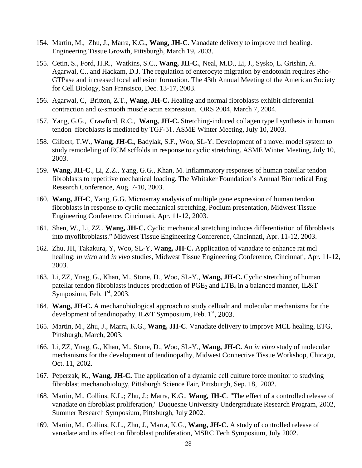- 154. Martin, M., Zhu, J., Marra, K.G., **Wang, JH-C**. Vanadate delivery to improve mcl healing. Engineering Tissue Growth, Pittsburgh, March 19, 2003.
- 155. Cetin, S., Ford, H.R., Watkins, S.C., **Wang, JH-C.**, Neal, M.D., Li, J., Sysko, L. Grishin, A. Agarwal, C., and Hackam, D.J. The regulation of enterocyte migration by endotoxin requires Rho-GTPase and increased focal adhesion formation. The 43th Annual Meeting of the American Society for Cell Biology, San Fransisco, Dec. 13-17, 2003.
- 156. Agarwal, C, Britton, Z.T., **Wang, JH-C.** Healing and normal fibroblasts exhibit differential contraction and α-smooth muscle actin expression. ORS 2004, March 7, 2004.
- 157. Yang, G.G., Crawford, R.C., **Wang, JH-C.** Stretching-induced collagen type I synthesis in human tendon fibroblasts is mediated by TGF-β1. ASME Winter Meeting, July 10, 2003.
- 158. Gilbert, T.W., **Wang, JH-C.**, Badylak, S.F., Woo, SL-Y. Development of a novel model system to study remodeling of ECM scffolds in response to cyclic stretching. ASME Winter Meeting, July 10, 2003.
- 159. **Wang, JH-C**., Li, Z.Z., Yang, G.G., Khan, M. Inflammatory responses of human patellar tendon fibroblasts to repetitive mechanical loading. The Whitaker Foundation's Annual Biomedical Eng Research Conference, Aug. 7-10, 2003.
- 160. **Wang, JH-C**, Yang, G.G. Microarray analysis of multiple gene expression of human tendon fibroblasts in response to cyclic mechanical stretching, Podium presentation, Midwest Tissue Engineering Conference, Cincinnati, Apr. 11-12, 2003.
- 161. Shen, W., Li, ZZ., **Wang, JH-C.** Cyclic mechanical stretching induces differentiation of fibroblasts into myofibroblasts." Midwest Tissue Engineering Conference, Cincinnati, Apr. 11-12, 2003.
- 162. Zhu, JH, Takakura, Y, Woo, SL-Y, W**ang, JH-C.** Application of vanadate to enhance rat mcl healing: *in vitro* and *in vivo* studies, Midwest Tissue Engineering Conference, Cincinnati, Apr. 11-12, 2003.
- 163. Li, ZZ, Ynag, G., Khan, M., Stone, D., Woo, SL-Y., **Wang, JH-C.** Cyclic stretching of human patellar tendon fibroblasts induces production of  $PGE_2$  and  $LTB_4$  in a balanced manner, IL&T Symposium, Feb.  $1<sup>st</sup>$ , 2003.
- 164. **Wang, JH-C.** A mechanobiological approach to study cellualr and molecular mechanisms for the development of tendinopathy, IL&T Symposium, Feb.  $1<sup>st</sup>$ , 2003.
- 165. Martin, M., Zhu, J., Marra, K.G., **Wang, JH-C**. Vanadate delivery to improve MCL healing, ETG, Pittsburgh, March, 2003.
- 166. Li, ZZ, Ynag, G., Khan, M., Stone, D., Woo, SL-Y., **Wang, JH-C.** An *in vitro* study of molecular mechanisms for the development of tendinopathy, Midwest Connective Tissue Workshop, Chicago, Oct. 11, 2002.
- 167. Peperzak, K., **Wang, JH-C.** The application of a dynamic cell culture force monitor to studying fibroblast mechanobiology, Pittsburgh Science Fair, Pittsburgh, Sep. 18, 2002.
- 168. Martin, M., Collins, K.L.; Zhu, J.; Marra, K.G., **Wang, JH-C**. "The effect of a controlled release of vanadate on fibroblast proliferation," Duquesne University Undergraduate Research Program, 2002, Summer Research Symposium, Pittsburgh, July 2002.
- 169. Martin, M., Collins, K.L., Zhu, J., Marra, K.G., **Wang, JH-C.** A study of controlled release of vanadate and its effect on fibroblast proliferation, MSRC Tech Symposium, July 2002.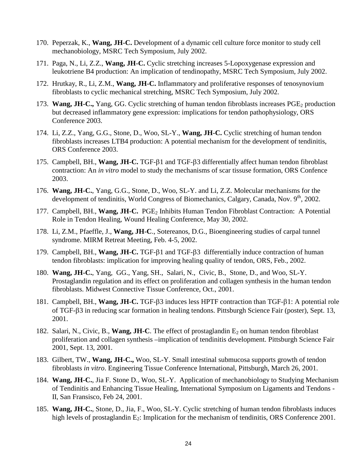- 170. Peperzak, K., **Wang, JH-C.** Development of a dynamic cell culture force monitor to study cell mechanobiology, MSRC Tech Symposium, July 2002.
- 171. Paga, N., Li, Z.Z., **Wang, JH-C.** Cyclic stretching increases 5-Lopoxygenase expression and leukotriene B4 production: An implication of tendinopathy, MSRC Tech Symposium, July 2002.
- 172. Hrutkay, R., Li, Z.M., **Wang, JH-C.** Inflammatory and proliferative responses of tenosynovium fibroblasts to cyclic mechanical stretching, MSRC Tech Symposium, July 2002.
- 173. **Wang, JH-C.,** Yang, GG. Cyclic stretching of human tendon fibroblasts increases PGE<sub>2</sub> production but decreased inflammatory gene expression: implications for tendon pathophysiology, ORS Conference 2003.
- 174. Li, Z.Z., Yang, G.G., Stone, D., Woo, SL-Y., **Wang, JH-C.** Cyclic stretching of human tendon fibroblasts increases LTB4 production: A potential mechanism for the development of tendinitis, ORS Conference 2003.
- 175. Campbell, BH., **Wang, JH-C.** TGF-β1 and TGF-β3 differentially affect human tendon fibroblast contraction: An *in vitro* model to study the mechanisms of scar tissuse formation, ORS Confence 2003.
- 176. **Wang, JH-C.**, Yang, G.G., Stone, D., Woo, SL-Y. and Li, Z.Z. Molecular mechanisms for the development of tendinitis, World Congress of Biomechanics, Calgary, Canada, Nov.  $9<sup>th</sup>$ , 2002.
- 177. Campbell, BH., Wang, JH-C. PGE<sub>2</sub> Inhibits Human Tendon Fibroblast Contraction: A Potential Role in Tendon Healing, Wound Healing Conference, May 30, 2002.
- 178. Li, Z.M., Pfaeffle, J., **Wang, JH-C**., Sotereanos, D.G., Bioengineering studies of carpal tunnel syndrome. MIRM Retreat Meeting, Feb. 4-5, 2002.
- 179. Campbell, BH., **Wang, JH-C.** TGF-β1 and TGF-β3 differentially induce contraction of human tendon fibroblasts: implication for improving healing quality of tendon, ORS, Feb., 2002.
- 180. **Wang, JH-C.**, Yang, GG., Yang, SH., Salari, N., Civic, B., Stone, D., and Woo, SL-Y. Prostaglandin regulation and its effect on proliferation and collagen synthesis in the human tendon fibroblasts. Midwest Connective Tissue Conference, Oct., 2001.
- 181. Campbell, BH., **Wang, JH-C.** TGF-β3 induces less HPTF contraction than TGF-β1: A potential role of TGF-β3 in reducing scar formation in healing tendons. Pittsburgh Science Fair (poster), Sept. 13, 2001.
- 182. Salari, N., Civic, B., **Wang, JH-C**. The effect of prostaglandin E<sub>2</sub> on human tendon fibroblast proliferation and collagen synthesis –implication of tendinitis development. Pittsburgh Science Fair 2001, Sept. 13, 2001.
- 183. Gilbert, TW., **Wang, JH-C.,** Woo, SL-Y. Small intestinal submucosa supports growth of tendon fibroblasts *in vitro*. Engineering Tissue Conference International, Pittsburgh, March 26, 2001.
- 184. **Wang, JH-C.**, Jia F. Stone D., Woo, SL-Y. Application of mechanobiology to Studying Mechanism of Tendinitis and Enhancing Tissue Healing, International Symposium on Ligaments and Tendons - II, San Fransisco, Feb 24, 2001.
- 185. **Wang, JH-C.**, Stone, D., Jia, F., Woo, SL-Y. Cyclic stretching of human tendon fibroblasts induces high levels of prostaglandin  $E_2$ : Implication for the mechanism of tendinitis, ORS Conference 2001.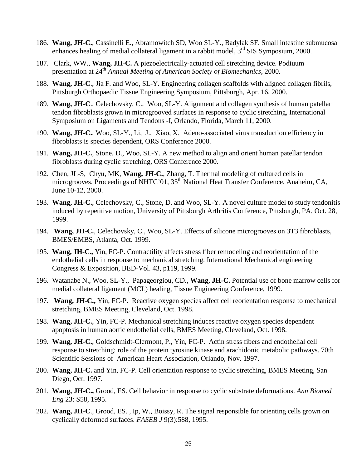- 186. **Wang, JH-C.**, Cassinelli E., Abramowitch SD, Woo SL-Y., Badylak SF. Small intestine submucosa enhances healing of medial collateral ligament in a rabbit model,  $3<sup>rd</sup>$  SIS Symposium, 2000.
- 187. Clark, WW., **Wang, JH-C.** A piezoelectrically-actuated cell stretching device. Podiuum presentation at 24th *Annual Meeting of American Society of Biomechanics*, 2000.
- 188. **Wang, JH-C**., Jia F. and Woo, SL-Y. Engineering collagen scaffolds with aligned collagen fibrils, Pittsburgh Orthopaedic Tissue Engineering Symposium, Pittsburgh, Apr. 16, 2000.
- 189. **Wang, JH-C**., Celechovsky, C., Woo, SL-Y. Alignment and collagen synthesis of human patellar tendon fibroblasts grown in microgrooved surfaces in response to cyclic stretching, International Symposium on Ligaments and Tendons -I, Orlando, Florida, March 11, 2000.
- 190. **Wang, JH-C.**, Woo, SL-Y., Li, J., Xiao, X. Adeno-associated virus transduction efficiency in fibroblasts is species dependent, ORS Conference 2000.
- 191. **Wang, JH-C.**, Stone, D., Woo, SL-Y. A new method to align and orient human patellar tendon fibroblasts during cyclic stretching, ORS Conference 2000.
- 192. Chen, JL-S, Chyu, MK, **Wang, JH-C.**, Zhang, T. Thermal modeling of cultured cells in microgrooves, Proceedings of NHTC'01, 35<sup>th</sup> National Heat Transfer Conference, Anaheim, CA, June 10-12, 2000.
- 193. **Wang, JH-C.**, Celechovsky, C., Stone, D. and Woo, SL-Y. A novel culture model to study tendonitis induced by repetitive motion, University of Pittsburgh Arthritis Conference, Pittsburgh, PA, Oct. 28, 1999.
- 194. **Wang, JH-C.**, Celechovsky, C., Woo, SL-Y. Effects of silicone microgrooves on 3T3 fibroblasts, BMES/EMBS, Atlanta, Oct. 1999.
- 195. **Wang, JH-C.,** Yin, FC-P. Contractility affects stress fiber remodeling and reorientation of the endothelial cells in response to mechanical stretching. International Mechanical engineering Congress & Exposition, BED-Vol. 43, p119, 1999.
- 196. Watanabe N., Woo, SL-Y., Papageorgiou, CD., **Wang, JH-C.** Potential use of bone marrow cells for medial collateral ligament (MCL) healing, Tissue Engineering Conference, 1999.
- 197. **Wang, JH-C.,** Yin, FC-P. Reactive oxygen species affect cell reorientation response to mechanical stretching, BMES Meeting, Cleveland, Oct. 1998.
- 198. **Wang, JH-C.**, Yin, FC-P. Mechanical stretching induces reactive oxygen species dependent apoptosis in human aortic endothelial cells, BMES Meeting, Cleveland, Oct. 1998.
- 199. **Wang, JH-C.**, Goldschmidt-Clermont, P., Yin, FC-P. Actin stress fibers and endothelial cell response to stretching: role of the protein tyrosine kinase and arachidonic metabolic pathways. 70th Scientific Sessions of American Heart Association*,* Orlando, Nov. 1997.
- 200. **Wang, JH-C.** and Yin, FC-P. Cell orientation response to cyclic stretching, BMES Meeting, San Diego, Oct. 1997.
- 201. **Wang, JH-C.,** Grood, ES. Cell behavior in response to cyclic substrate deformations. *Ann Biomed Eng* 23: S58, 1995.
- 202. **Wang, JH-C**., Grood, ES. , Ip, W., Boissy, R. The signal responsible for orienting cells grown on cyclically deformed surfaces. *FASEB J* 9(3):588, 1995.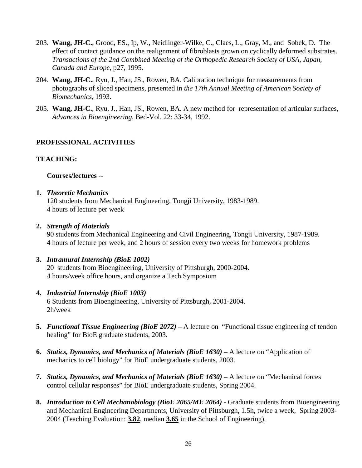- 203. **Wang, JH-C.**, Grood, ES., Ip, W., Neidlinger-Wilke, C., Claes, L., Gray, M., and Sobek, D. The effect of contact guidance on the realignment of fibroblasts grown on cyclically deformed substrates. *Transactions of the 2nd Combined Meeting of the Orthopedic Research Society of USA, Japan, Canada and Europe,* p27, 1995.
- 204. **Wang, JH-C.**, Ryu, J., Han, JS., Rowen, BA. Calibration technique for measurements from photographs of sliced specimens, presented in *the 17th Annual Meeting of American Society of Biomechanics*, 1993.
- 205. **Wang, JH-C.**, Ryu, J., Han, JS., Rowen, BA. A new method for representation of articular surfaces, *Advances in Bioengineering*, Bed-Vol. 22: 33-34, 1992.

## **PROFESSIONAL ACTIVITIES**

### **TEACHING:**

**Courses/lectures** --

### **1.** *Theoretic Mechanics*

120 students from Mechanical Engineering, Tongji University, 1983-1989. 4 hours of lecture per week

### **2.** *Strength of Materials*

90 students from Mechanical Engineering and Civil Engineering, Tongji University, 1987-1989. 4 hours of lecture per week, and 2 hours of session every two weeks for homework problems

# **3.** *Intramural Internship (BioE 1002)*

20 students from Bioengineering, University of Pittsburgh, 2000-2004. 4 hours/week office hours, and organize a Tech Symposium

### **4.** *Industrial Internship (BioE 1003)*

 6 Students from Bioengineering, University of Pittsburgh, 2001-2004. 2h/week

- **5.** *Functional Tissue Engineering (BioE 2072)* A lecture on "Functional tissue engineering of tendon healing" for BioE graduate students, 2003.
- **6.** *Statics, Dynamics, and Mechanics of Materials (BioE 1630)* A lecture on "Application of mechanics to cell biology" for BioE undergraduate students, 2003.
- **7.** *Statics, Dynamics, and Mechanics of Materials (BioE 1630)* A lecture on "Mechanical forces control cellular responses" for BioE undergraduate students, Spring 2004.
- **8.** *Introduction to Cell Mechanobiology (BioE 2065/ME 2064)* Graduate students from Bioengineering and Mechanical Engineering Departments, University of Pittsburgh, 1.5h, twice a week, Spring 2003- 2004 (Teaching Evaluation: **3.82**, median **3.65** in the School of Engineering).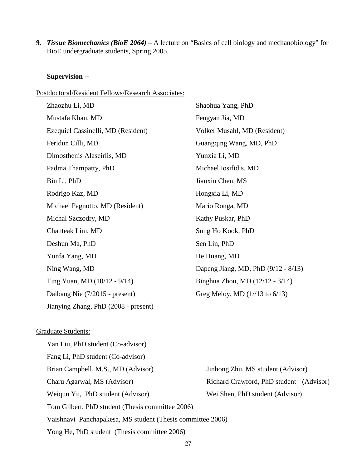**9.** *Tissue Biomechanics (BioE 2064)* – A lecture on "Basics of cell biology and mechanobiology" for BioE undergraduate students, Spring 2005.

## **Supervision --**

## Postdoctoral/Resident Fellows/Research Associates:

| Zhaozhu Li, MD                       | Shaohua Yang, PhD                   |
|--------------------------------------|-------------------------------------|
| Mustafa Khan, MD                     | Fengyan Jia, MD                     |
| Ezequiel Cassinelli, MD (Resident)   | Volker Musahl, MD (Resident)        |
| Feridun Cilli, MD                    | Guangqing Wang, MD, PhD             |
| Dimosthenis Alaseirlis, MD           | Yunxia Li, MD                       |
| Padma Thampatty, PhD                 | Michael Iosifidis, MD               |
| Bin Li, PhD                          | Jianxin Chen, MS                    |
| Rodrigo Kaz, MD                      | Hongxia Li, MD                      |
| Michael Pagnotto, MD (Resident)      | Mario Ronga, MD                     |
| Michal Szczodry, MD                  | Kathy Puskar, PhD                   |
| Chanteak Lim, MD                     | Sung Ho Kook, PhD                   |
| Deshun Ma, PhD                       | Sen Lin, PhD                        |
| Yunfa Yang, MD                       | He Huang, MD                        |
| Ning Wang, MD                        | Dapeng Jiang, MD, PhD (9/12 - 8/13) |
| Ting Yuan, MD (10/12 - 9/14)         | Binghua Zhou, MD (12/12 - 3/14)     |
| Daibang Nie (7/2015 - present)       | Greg Meloy, MD $(1//13$ to $6/13)$  |
| Jianying Zhang, PhD (2008 - present) |                                     |

## Graduate Students:

| Yan Liu, PhD student (Co-advisor)                          |                                         |  |
|------------------------------------------------------------|-----------------------------------------|--|
| Fang Li, PhD student (Co-advisor)                          |                                         |  |
| Brian Campbell, M.S., MD (Advisor)                         | Jinhong Zhu, MS student (Advisor)       |  |
| Charu Agarwal, MS (Advisor)                                | Richard Crawford, PhD student (Advisor) |  |
| Weiqun Yu, PhD student (Advisor)                           | Wei Shen, PhD student (Advisor)         |  |
| Tom Gilbert, PhD student (Thesis committee 2006)           |                                         |  |
| Vaishnavi Panchapakesa, MS student (Thesis committee 2006) |                                         |  |
| Yong He, PhD student (Thesis committee 2006)               |                                         |  |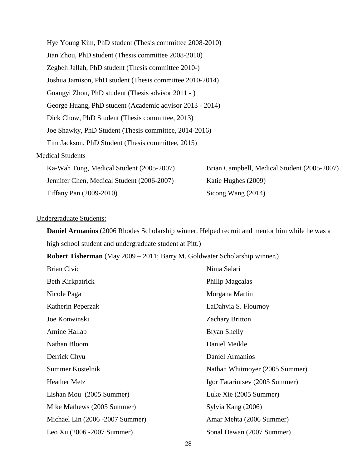| Hye Young Kim, PhD student (Thesis committee 2008-2010)  |                                             |
|----------------------------------------------------------|---------------------------------------------|
| Jian Zhou, PhD student (Thesis committee 2008-2010)      |                                             |
| Zegbeh Jallah, PhD student (Thesis committee 2010-)      |                                             |
| Joshua Jamison, PhD student (Thesis committee 2010-2014) |                                             |
| Guangyi Zhou, PhD student (Thesis advisor 2011 - )       |                                             |
| George Huang, PhD student (Academic advisor 2013 - 2014) |                                             |
| Dick Chow, PhD Student (Thesis committee, 2013)          |                                             |
| Joe Shawky, PhD Student (Thesis committee, 2014-2016)    |                                             |
| Tim Jackson, PhD Student (Thesis committee, 2015)        |                                             |
| <b>Medical Students</b>                                  |                                             |
| Ka-Wah Tung, Medical Student (2005-2007)                 | Brian Campbell, Medical Student (2005-2007) |
| Jennifer Chen, Medical Student (2006-2007)               | Katie Hughes (2009)                         |

#### Undergraduate Students:

**Daniel Armanios** (2006 Rhodes Scholarship winner. Helped recruit and mentor him while he was a high school student and undergraduate student at Pitt.)

**Robert Tisherman** (May 2009 – 2011; Barry M. Goldwater Scholarship winner.)

Tiffany Pan (2009-2010) Sicong Wang (2014)

| <b>Brian Civic</b>              | Nima Salari                    |
|---------------------------------|--------------------------------|
| Beth Kirkpatrick                | Philip Magcalas                |
| Nicole Paga                     | Morgana Martin                 |
| Katherin Peperzak               | LaDahvia S. Flournoy           |
| Joe Konwinski                   | <b>Zachary Britton</b>         |
| Amine Hallab                    | <b>Bryan Shelly</b>            |
| Nathan Bloom                    | Daniel Meikle                  |
| Derrick Chyu                    | Daniel Armanios                |
| Summer Kostelnik                | Nathan Whitmoyer (2005 Summer) |
| <b>Heather Metz</b>             | Igor Tatarintsev (2005 Summer) |
| Lishan Mou (2005 Summer)        | Luke Xie (2005 Summer)         |
| Mike Mathews (2005 Summer)      | Sylvia Kang (2006)             |
| Michael Lin (2006 -2007 Summer) | Amar Mehta (2006 Summer)       |
| Leo Xu (2006 - 2007 Summer)     | Sonal Dewan (2007 Summer)      |
|                                 |                                |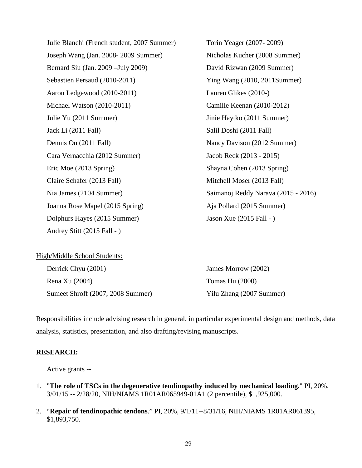Julie Blanchi (French student, 2007 Summer) Torin Yeager (2007- 2009) Joseph Wang (Jan. 2008- 2009 Summer) Nicholas Kucher (2008 Summer) Bernard Siu (Jan. 2009 –July 2009) David Rizwan (2009 Summer) Sebastien Persaud (2010-2011) Ying Wang (2010, 2011Summer) Aaron Ledgewood (2010-2011) Lauren Glikes (2010-) Michael Watson (2010-2011) Camille Keenan (2010-2012) Julie Yu (2011 Summer) Jinie Haytko (2011 Summer) Jack Li (2011 Fall) Salil Doshi (2011 Fall) Dennis Ou (2011 Fall) Nancy Davison (2012 Summer) Cara Vernacchia (2012 Summer) Jacob Reck (2013 - 2015) Eric Moe (2013 Spring) Shayna Cohen (2013 Spring) Claire Schafer (2013 Fall) Mitchell Moser (2013 Fall) Nia James (2104 Summer) Saimanoj Reddy Narava (2015 - 2016) Joanna Rose Mapel (2015 Spring) Aja Pollard (2015 Summer) Dolphurs Hayes (2015 Summer) Jason Xue (2015 Fall - ) Audrey Stitt (2015 Fall - )

| High/Middle School Students:      |                          |
|-----------------------------------|--------------------------|
| Derrick Chyu (2001)               | James Morrow (2002)      |
| Rena Xu (2004)                    | Tomas Hu (2000)          |
| Sumeet Shroff (2007, 2008 Summer) | Yilu Zhang (2007 Summer) |

Responsibilities include advising research in general, in particular experimental design and methods, data analysis, statistics, presentation, and also drafting/revising manuscripts.

### **RESEARCH:**

Active grants *--*

- 1. "**The role of TSCs in the degenerative tendinopathy induced by mechanical loading.**" PI, 20%, 3/01/15 -- 2/28/20, NIH/NIAMS 1R01AR065949-01A1 (2 percentile), \$1,925,000.
- 2. "**Repair of tendinopathic tendons**." PI, 20%, 9/1/11--8/31/16, NIH/NIAMS 1R01AR061395, \$1,893,750.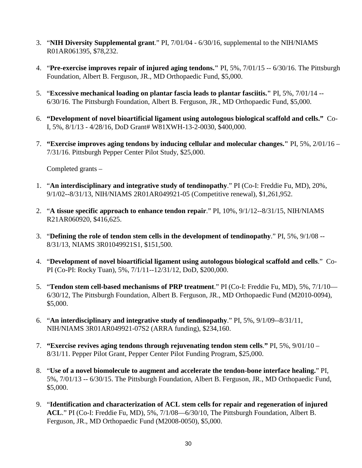- 3. "**NIH Diversity Supplemental grant**." PI, 7/01/04 6/30/16, supplemental to the NIH/NIAMS R01AR061395, \$78,232.
- 4. "**Pre-exercise improves repair of injured aging tendons."** PI, 5%, 7/01/15 -- 6/30/16. The Pittsburgh Foundation, Albert B. Ferguson, JR., MD Orthopaedic Fund, \$5,000.
- 5. "**Excessive mechanical loading on plantar fascia leads to plantar fasciitis."** PI, 5%, 7/01/14 -- 6/30/16. The Pittsburgh Foundation, Albert B. Ferguson, JR., MD Orthopaedic Fund, \$5,000.
- 6. **"Development of novel bioartificial ligament using autologous biological scaffold and cells."** Co-I, 5%, 8/1/13 - 4/28/16, DoD Grant# W81XWH-13-2-0030, \$400,000.
- 7. **"Exercise improves aging tendons by inducing cellular and molecular changes."** PI, 5%, 2/01/16 7/31/16. Pittsburgh Pepper Center Pilot Study, \$25,000.

Completed grants *–*

- 1. "**An interdisciplinary and integrative study of tendinopathy**." PI (Co-I: Freddie Fu, MD), 20%, 9/1/02--8/31/13, NIH/NIAMS 2R01AR049921-05 (Competitive renewal), \$1,261,952.
- 2. "**A tissue specific approach to enhance tendon repair**." PI, 10%, 9/1/12--8/31/15, NIH/NIAMS R21AR060920, \$416,625.
- 3. "**Defining the role of tendon stem cells in the development of tendinopathy**." PI, 5%, 9/1/08 -- 8/31/13, NIAMS 3R01049921S1, \$151,500.
- 4. "**Development of novel bioartificial ligament using autologous biological scaffold and cells**." Co-PI (Co-PI: Rocky Tuan), 5%, 7/1/11--12/31/12, DoD, \$200,000.
- 5. "**Tendon stem cell-based mechanisms of PRP treatment**." PI (Co-I: Freddie Fu, MD), 5%, 7/1/10— 6/30/12, The Pittsburgh Foundation, Albert B. Ferguson, JR., MD Orthopaedic Fund (M2010-0094), \$5,000.
- 6. "**An interdisciplinary and integrative study of tendinopathy**." PI, 5%, 9/1/09--8/31/11, NIH/NIAMS 3R01AR049921-07S2 (ARRA funding), \$234,160.
- 7. **"Exercise revives aging tendons through rejuvenating tendon stem cells**.**"** PI, 5%, 9/01/10 8/31/11. Pepper Pilot Grant, Pepper Center Pilot Funding Program, \$25,000.
- 8. "**Use of a novel biomolecule to augment and accelerate the tendon-bone interface healing.**" PI, 5%, 7/01/13 -- 6/30/15. The Pittsburgh Foundation, Albert B. Ferguson, JR., MD Orthopaedic Fund, \$5,000.
- 9. "**Identification and characterization of ACL stem cells for repair and regeneration of injured ACL**." PI (Co-I: Freddie Fu, MD), 5%, 7/1/08—6/30/10, The Pittsburgh Foundation, Albert B. Ferguson, JR., MD Orthopaedic Fund (M2008-0050), \$5,000.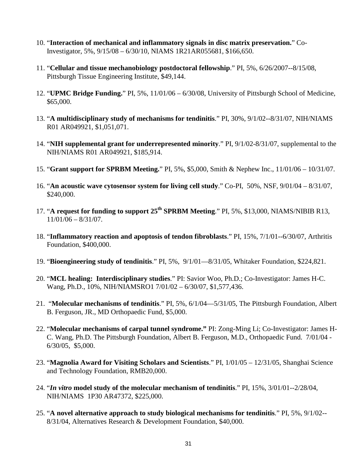- 10. "**Interaction of mechanical and inflammatory signals in disc matrix preservation.**" Co-Investigator, 5%, 9/15/08 – 6/30/10, NIAMS 1R21AR055681, \$166,650.
- 11. "**Cellular and tissue mechanobiology postdoctoral fellowship**." PI, 5%, 6/26/2007--8/15/08, Pittsburgh Tissue Engineering Institute, \$49,144.
- 12. "**UPMC Bridge Funding.**" PI, 5%, 11/01/06 6/30/08, University of Pittsburgh School of Medicine, \$65,000.
- 13. "**A multidisciplinary study of mechanisms for tendinitis**." PI, 30%, 9/1/02--8/31/07, NIH/NIAMS R01 AR049921, \$1,051,071.
- 14. "**NIH supplemental grant for underrepresented minority**." PI, 9/1/02-8/31/07, supplemental to the NIH/NIAMS R01 AR049921, \$185,914.
- 15. "**Grant support for SPRBM Meeting.**" PI, 5%, \$5,000, Smith & Nephew Inc., 11/01/06 10/31/07.
- 16. "**An acoustic wave cytosensor system for living cell study**." Co-PI, 50%, NSF, 9/01/04 8/31/07, \$240,000.
- 17. "**A request for funding to support 25th SPRBM Meeting**." PI, 5%, \$13,000, NIAMS/NIBIB R13, 11/01/06 – 8/31/07.
- 18. "**Inflammatory reaction and apoptosis of tendon fibroblasts**." PI, 15%, 7/1/01--6/30/07, Arthritis Foundation, \$400,000.
- 19. "**Bioengineering study of tendinitis**." PI, 5%, 9/1/01—8/31/05, Whitaker Foundation, \$224,821.
- 20. "**MCL healing: Interdisciplinary studies**." PI: Savior Woo, Ph.D.; Co-Investigator: James H-C. Wang, Ph.D., 10%, NIH/NIAMSRO1 7/01/02 – 6/30/07, \$1,577,436.
- 21. "**Molecular mechanisms of tendinitis**." PI, 5%, 6/1/04—5/31/05, The Pittsburgh Foundation, Albert B. Ferguson, JR., MD Orthopaedic Fund, \$5,000.
- 22. "**Molecular mechanisms of carpal tunnel syndrome."** PI: Zong-Ming Li; Co-Investigator: James H-C. Wang, Ph.D. The Pittsburgh Foundation, Albert B. Ferguson, M.D., Orthopaedic Fund. 7/01/04 - 6/30/05, \$5,000.
- 23. "**Magnolia Award for Visiting Scholars and Scientists**." PI, 1/01/05 12/31/05, Shanghai Science and Technology Foundation, RMB20,000.
- 24. "*In vitro* **model study of the molecular mechanism of tendinitis**." PI, 15%, 3/01/01--2/28/04, NIH/NIAMS 1P30 AR47372, \$225,000.
- 25. "**A novel alternative approach to study biological mechanisms for tendinitis**." PI, 5%, 9/1/02-- 8/31/04, Alternatives Research & Development Foundation, \$40,000.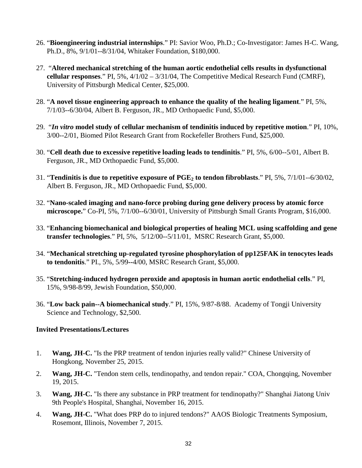- 26. "**Bioengineering industrial internships**." PI: Savior Woo, Ph.D.; Co-Investigator: James H-C. Wang, Ph.D., 8%, 9/1/01--8/31/04, Whitaker Foundation, \$180,000.
- 27. "**Altered mechanical stretching of the human aortic endothelial cells results in dysfunctional cellular responses**." PI, 5%, 4/1/02 – 3/31/04, The Competitive Medical Research Fund (CMRF), University of Pittsburgh Medical Center, \$25,000.
- 28. "**A novel tissue engineering approach to enhance the quality of the healing ligament**." PI, 5%, 7/1/03--6/30/04, Albert B. Ferguson, JR., MD Orthopaedic Fund, \$5,000.
- 29. "*In vitro* **model study of cellular mechanism of tendinitis induced by repetitive motion**." PI, 10%, 3/00--2/01, Biomed Pilot Research Grant from Rockefeller Brothers Fund, \$25,000.
- 30. "**Cell death due to excessive repetitive loading leads to tendinitis**." PI, 5%, 6/00--5/01, Albert B. Ferguson, JR., MD Orthopaedic Fund, \$5,000.
- 31. "**Tendinitis is due to repetitive exposure of PGE2 to tendon fibroblasts**." PI, 5%, 7/1/01--6/30/02, Albert B. Ferguson, JR., MD Orthopaedic Fund, \$5,000.
- 32. "**Nano-scaled imaging and nano-force probing during gene delivery process by atomic force microscope.**" Co-PI, 5%, 7/1/00--6/30/01, University of Pittsburgh Small Grants Program, \$16,000.
- 33. "**Enhancing biomechanical and biological properties of healing MCL using scaffolding and gene transfer technologies**." PI, 5%, 5/12/00--5/11/01, MSRC Research Grant, \$5,000.
- 34. "**Mechanical stretching up-regulated tyrosine phosphorylation of pp125FAK in tenocytes leads to tendonitis**." PI., 5%, 5/99**--**4/00, MSRC Research Grant, \$5,000.
- 35. "**Stretching-induced hydrogen peroxide and apoptosis in human aortic endothelial cells**." PI, 15%, 9/98-8/99, Jewish Foundation, \$50,000.
- 36. "**Low back pain--A biomechanical study**." PI, 15%, 9/87-8/88. Academy of Tongji University Science and Technology, \$2,500.

#### **Invited Presentations/Lectures**

- 1. **Wang, JH-C.** "Is the PRP treatment of tendon injuries really valid?" Chinese University of Hongkong, November 25, 2015.
- 2. **Wang, JH-C.** "Tendon stem cells, tendinopathy, and tendon repair." COA, Chongqing, November 19, 2015.
- 3. **Wang, JH-C.** "Is there any substance in PRP treatment for tendinopathy?" Shanghai Jiatong Univ 9th People's Hospital, Shanghai, November 16, 2015.
- 4. **Wang, JH-C.** "What does PRP do to injured tendons?" AAOS Biologic Treatments Symposium, Rosemont, Illinois, November 7, 2015.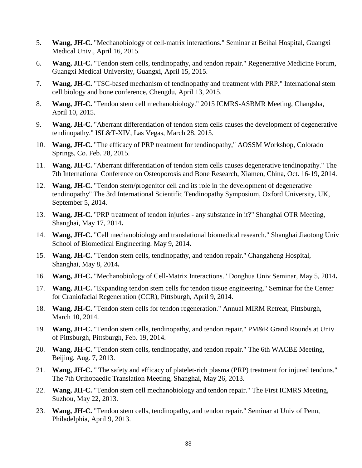- 5. **Wang, JH-C.** "Mechanobiology of cell-matrix interactions." Seminar at Beihai Hospital, Guangxi Medical Univ., April 16, 2015.
- 6. **Wang, JH-C.** "Tendon stem cells, tendinopathy, and tendon repair." Regenerative Medicine Forum, Guangxi Medical University, Guangxi, April 15, 2015.
- 7. **Wang, JH-C.** "TSC-based mechanism of tendinopathy and treatment with PRP." International stem cell biology and bone conference, Chengdu, April 13, 2015.
- 8. **Wang, JH-C.** "Tendon stem cell mechanobiology." 2015 ICMRS-ASBMR Meeting, Changsha, April 10, 2015.
- 9. **Wang, JH-C.** "Aberrant differentiation of tendon stem cells causes the development of degenerative tendinopathy." ISL&T-XIV, Las Vegas, March 28, 2015.
- 10. **Wang, JH-C.** "The efficacy of PRP treatment for tendinopathy," AOSSM Workshop, Colorado Springs, Co. Feb. 28, 2015.
- 11. **Wang, JH-C.** "Aberrant differentiation of tendon stem cells causes degenerative tendinopathy." The 7th International Conference on Osteoporosis and Bone Research, Xiamen, China, Oct. 16-19, 2014.
- 12. **Wang, JH-C.** "Tendon stem/progenitor cell and its role in the development of degenerative tendinopathy" The 3rd International Scientific Tendinopathy Symposium, Oxford University, UK, September 5, 2014.
- 13. **Wang, JH-C.** "PRP treatment of tendon injuries any substance in it?" Shanghai OTR Meeting, Shanghai, May 17, 2014**.**
- 14. **Wang, JH-C.** "Cell mechanobiology and translational biomedical research." Shanghai Jiaotong Univ School of Biomedical Engineering. May 9, 2014**.**
- 15. **Wang, JH-C.** "Tendon stem cells, tendinopathy, and tendon repair." Changzheng Hospital, Shanghai, May 8, 2014**.**
- 16. **Wang, JH-C.** "Mechanobiology of Cell-Matrix Interactions." Donghua Univ Seminar, May 5, 2014**.**
- 17. **Wang, JH-C.** "Expanding tendon stem cells for tendon tissue engineering." Seminar for the Center for Craniofacial Regeneration (CCR), Pittsburgh, April 9, 2014.
- 18. **Wang, JH-C.** "Tendon stem cells for tendon regeneration." Annual MIRM Retreat, Pittsburgh, March 10, 2014.
- 19. **Wang, JH-C.** "Tendon stem cells, tendinopathy, and tendon repair." PM&R Grand Rounds at Univ of Pittsburgh, Pittsburgh, Feb. 19, 2014.
- 20. **Wang, JH-C.** "Tendon stem cells, tendinopathy, and tendon repair." The 6th WACBE Meeting, Beijing, Aug. 7, 2013.
- 21. **Wang, JH-C.** " The safety and efficacy of platelet-rich plasma (PRP) treatment for injured tendons." The 7th Orthopaedic Translation Meeting, Shanghai, May 26, 2013.
- 22. **Wang, JH-C.** "Tendon stem cell mechanobiology and tendon repair." The First ICMRS Meeting, Suzhou, May 22, 2013.
- 23. **Wang, JH-C.** "Tendon stem cells, tendinopathy, and tendon repair." Seminar at Univ of Penn, Philadelphia, April 9, 2013.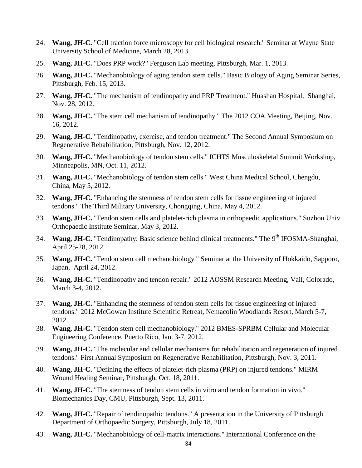- 24. **Wang, JH-C.** "Cell traction force microscopy for cell biological research." Seminar at Wayne State University School of Medicine, March 28, 2013.
- 25. **Wang, JH-C.** "Does PRP work?" Ferguson Lab meeting, Pittsburgh, Mar. 1, 2013.
- 26. **Wang, JH-C.** "Mechanobiology of aging tendon stem cells." Basic Biology of Aging Seminar Series, Pittsburgh, Feb. 15, 2013.
- 27. **Wang, JH-C.** "The mechanism of tendinopathy and PRP Treatment." Huashan Hospital, Shanghai, Nov. 28, 2012.
- 28. **Wang, JH-C.** "The stem cell mechanism of tendinopathy." The 2012 COA Meeting, Beijing, Nov. 16, 2012.
- 29. **Wang, JH-C.** "Tendinopathy, exercise, and tendon treatment." The Second Annual Symposium on Regenerative Rehabilitation, Pittsburgh, Nov. 12, 2012.
- 30. **Wang, JH-C.** "Mechanobiology of tendon stem cells." ICHTS Musculoskeletal Summit Workshop, Minneapolis, MN, Oct. 11, 2012.
- 31. **Wang, JH-C.** "Mechanobiology of tendon stem cells." West China Medical School, Chengdu, China, May 5, 2012.
- 32. **Wang, JH-C.** "Enhancing the stemness of tendon stem cells for tissue engineering of injured tendons." The Third Military University, Chongqing, China, May 4, 2012.
- 33. **Wang, JH-C.** "Tendon stem cells and platelet-rich plasma in orthopaedic applications." Suzhou Univ Orthopaedic Institute Seminar, May 3, 2012.
- 34. **Wang, JH-C.** "Tendinopathy: Basic science behind clinical treatments." The 9<sup>th</sup> IFOSMA-Shanghai, April 25-28, 2012.
- 35. **Wang, JH-C.** "Tendon stem cell mechanobiology." Seminar at the University of Hokkaido, Sapporo, Japan, April 24, 2012.
- 36. **Wang, JH-C.** "Tendinopathy and tendon repair." 2012 AOSSM Research Meeting, Vail, Colorado, March 3-4, 2012.
- 37. **Wang, JH-C.** "Enhancing the stemness of tendon stem cells for tissue engineering of injured tendons." 2012 McGowan Institute Scientific Retreat, Nemacolin Woodlands Resort, March 5-7, 2012.
- 38. **Wang, JH-C.** "Tendon stem cell mechanobiology." 2012 BMES-SPRBM Cellular and Molecular Engineering Conference, Puerto Rico, Jan. 3-7, 2012.
- 39. **Wang, JH-C.** "The molecular and cellular mechanisms for rehabilitation and regeneration of injured tendons." First Annual Symposium on Regenerative Rehabilitation, Pittsburgh, Nov. 3, 2011.
- 40. **Wang, JH-C.** "Defining the effects of platelet-rich plasma (PRP) on injured tendons." MIRM Wound Healing Seminar, Pittsburgh, Oct. 18, 2011.
- 41. **Wang, JH-C.** "The stemness of tendon stem cells in vitro and tendon formation in vivo." Biomechanics Day, CMU, Pittsburgh, Sept. 13, 2011.
- 42. **Wang, JH-C.** "Repair of tendinopathic tendons." A presentation in the University of Pittsburgh Department of Orthopaedic Surgery, Pittsburgh, July 18, 2011.
- 43. **Wang, JH-C.** "Mechanobiology of cell-matrix interactions." International Conference on the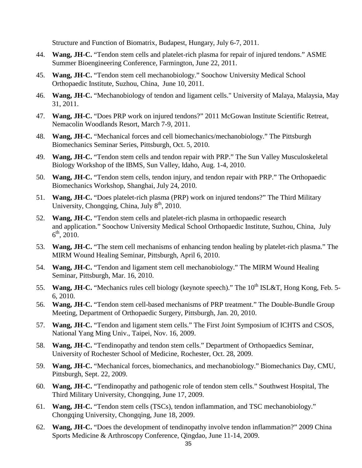Structure and Function of Biomatrix, Budapest, Hungary, July 6-7, 2011.

- 44. **Wang, JH-C.** "Tendon stem cells and platelet-rich plasma for repair of injured tendons." ASME Summer Bioengineering Conference, Farmington, June 22, 2011.
- 45. **Wang, JH-C.** "Tendon stem cell mechanobiology." Soochow University Medical School Orthopaedic Institute, Suzhou, China, June 10, 2011.
- 46. **Wang, JH-C.** "Mechanobiology of tendon and ligament cells." University of Malaya, Malaysia, May 31, 2011.
- 47. **Wang, JH-C.** "Does PRP work on injured tendons?" 2011 McGowan Institute Scientific Retreat, Nemacolin Woodlands Resort, March 7-9, 2011.
- 48. **Wang, JH-C.** "Mechanical forces and cell biomechanics/mechanobiology." The Pittsburgh Biomechanics Seminar Series, Pittsburgh, Oct. 5, 2010.
- 49. **Wang, JH-C.** "Tendon stem cells and tendon repair with PRP." The Sun Valley Musculoskeletal Biology Workshop of the IBMS, Sun Valley, Idaho, Aug. 1-4, 2010.
- 50. **Wang, JH-C.** "Tendon stem cells, tendon injury, and tendon repair with PRP." The Orthopaedic Biomechanics Workshop, Shanghai, July 24, 2010.
- 51. **Wang, JH-C.** "Does platelet-rich plasma (PRP) work on injured tendons?" The Third Military University, Chongqing, China, July  $8<sup>th</sup>$ , 2010.
- 52. **Wang, JH-C.** "Tendon stem cells and platelet-rich plasma in orthopaedic research and application." Soochow University Medical School Orthopaedic Institute, Suzhou, China, July  $6^{\text{th}}$ , 2010.
- 53. **Wang, JH-C.** "The stem cell mechanisms of enhancing tendon healing by platelet-rich plasma." The MIRM Wound Healing Seminar, Pittsburgh, April 6, 2010.
- 54. **Wang, JH-C.** "Tendon and ligament stem cell mechanobiology." The MIRM Wound Healing Seminar, Pittsburgh, Mar. 16, 2010.
- 55. **Wang, JH-C.** "Mechanics rules cell biology (keynote speech)." The 10<sup>th</sup> ISL&T, Hong Kong, Feb. 5-6, 2010.
- 56. **Wang, JH-C.** "Tendon stem cell-based mechanisms of PRP treatment." The Double-Bundle Group Meeting, Department of Orthopaedic Surgery, Pittsburgh, Jan. 20, 2010.
- 57. **Wang, JH-C.** "Tendon and ligament stem cells." The First Joint Symposium of ICHTS and CSOS, National Yang Ming Univ., Taipei, Nov. 16, 2009.
- 58. **Wang, JH-C.** "Tendinopathy and tendon stem cells." Department of Orthopaedics Seminar, University of Rochester School of Medicine, Rochester, Oct. 28, 2009.
- 59. **Wang, JH-C.** "Mechanical forces, biomechanics, and mechanobiology." Biomechanics Day, CMU, Pittsburgh, Sept. 22, 2009.
- 60. **Wang, JH-C.** "Tendinopathy and pathogenic role of tendon stem cells." Southwest Hospital, The Third Military University, Chongqing, June 17, 2009.
- 61. **Wang, JH-C.** "Tendon stem cells (TSCs), tendon inflammation, and TSC mechanobiology." Chongqing University, Chongqing, June 18, 2009.
- 62. **Wang, JH-C.** "Does the development of tendinopathy involve tendon inflammation?" 2009 China Sports Medicine & Arthroscopy Conference, Qingdao, June 11-14, 2009.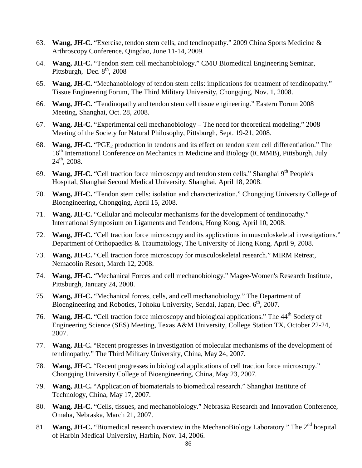- 63. **Wang, JH-C.** "Exercise, tendon stem cells, and tendinopathy." 2009 China Sports Medicine & Arthroscopy Conference, Qingdao, June 11-14, 2009.
- 64. **Wang, JH-C.** "Tendon stem cell mechanobiology." CMU Biomedical Engineering Seminar, Pittsburgh, Dec.  $8<sup>th</sup>$ , 2008
- 65. **Wang, JH-C.** "Mechanobiology of tendon stem cells: implications for treatment of tendinopathy." Tissue Engineering Forum, The Third Military University, Chongqing, Nov. 1, 2008.
- 66. **Wang, JH-C.** "Tendinopathy and tendon stem cell tissue engineering." Eastern Forum 2008 Meeting, Shanghai, Oct. 28, 2008.
- 67. **Wang, JH-C.** "Experimental cell mechanobiology The need for theoretical modeling," 2008 Meeting of the Society for Natural Philosophy, Pittsburgh, Sept. 19-21, 2008.
- 68. **Wang, JH-C.** "PGE<sub>2</sub> production in tendons and its effect on tendon stem cell differentiation." The 16<sup>th</sup> International Conference on Mechanics in Medicine and Biology (ICMMB), Pittsburgh, July  $24<sup>th</sup>$ , 2008.
- 69. **Wang, JH-C.** "Cell traction force microscopy and tendon stem cells." Shanghai 9<sup>th</sup> People's Hospital, Shanghai Second Medical University, Shanghai, April 18, 2008.
- 70. **Wang, JH-C.** "Tendon stem cells: isolation and characterization." Chongqing University College of Bioengineering, Chongqing, April 15, 2008.
- 71. **Wang, JH-C.** "Cellular and molecular mechanisms for the development of tendinopathy." International Symposium on Ligaments and Tendons, Hong Kong, April 10, 2008.
- 72. **Wang, JH-C.** "Cell traction force microscopy and its applications in musculoskeletal investigations." Department of Orthopaedics & Traumatology, The University of Hong Kong, April 9, 2008.
- 73. **Wang, JH-C.** "Cell traction force microscopy for musculoskeletal research." MIRM Retreat, Nemacolin Resort, March 12, 2008.
- 74. **Wang, JH-C.** "Mechanical Forces and cell mechanobiology." Magee-Women's Research Institute, Pittsburgh, January 24, 2008.
- 75. **Wang, JH-C.** "Mechanical forces, cells, and cell mechanobiology." The Department of Bioengineering and Robotics, Tohoku University, Sendai, Japan, Dec. 6<sup>th</sup>, 2007.
- 76. **Wang, JH-C.** "Cell traction force microscopy and biological applications." The 44<sup>th</sup> Society of Engineering Science (SES) Meeting, Texas A&M University, College Station TX, October 22-24, 2007.
- 77. **Wang, JH-**C**.** "Recent progresses in investigation of molecular mechanisms of the development of tendinopathy." The Third Military University, China, May 24, 2007.
- 78. **Wang, JH-**C**.** "Recent progresses in biological applications of cell traction force microscopy." Chongqing University College of Bioengineering, China, May 23, 2007.
- 79. **Wang, JH-**C**.** "Application of biomaterials to biomedical research." Shanghai Institute of Technology, China, May 17, 2007.
- 80. **Wang, JH-C.** "Cells, tissues, and mechanobiology." Nebraska Research and Innovation Conference, Omaha, Nebraska, March 21, 2007.
- 81. **Wang, JH-C.** "Biomedical research overview in the MechanoBiology Laboratory." The 2<sup>nd</sup> hospital of Harbin Medical University, Harbin, Nov. 14, 2006.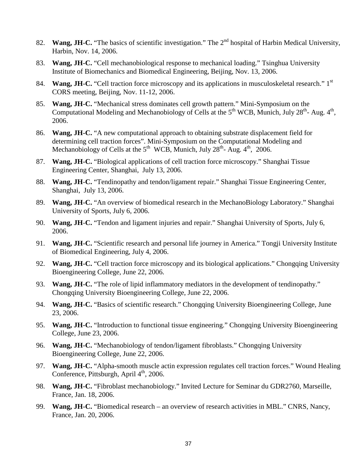- 82. **Wang, JH-C.** "The basics of scientific investigation." The 2<sup>nd</sup> hospital of Harbin Medical University, Harbin, Nov. 14, 2006.
- 83. **Wang, JH-C.** "Cell mechanobiological response to mechanical loading." Tsinghua University Institute of Biomechanics and Biomedical Engineering, Beijing, Nov. 13, 2006.
- 84. **Wang, JH-C.** "Cell traction force microscopy and its applications in musculoskeletal research." 1<sup>st</sup> CORS meeting, Beijing, Nov. 11-12, 2006.
- 85. **Wang, JH-C.** "Mechanical stress dominates cell growth pattern." Mini-Symposium on the Computational Modeling and Mechanobiology of Cells at the  $5<sup>th</sup> WCB$ , Munich, July 28<sup>th</sup>- Aug.  $4<sup>th</sup>$ , 2006.
- 86. **Wang, JH-C.** "A new computational approach to obtaining substrate displacement field for determining cell traction forces". Mini-Symposium on the Computational Modeling and Mechanobiology of Cells at the  $5<sup>th</sup>$  WCB, Munich, July  $28<sup>th</sup>$ - Aug.  $4<sup>th</sup>$ , 2006.
- 87. **Wang, JH-C.** "Biological applications of cell traction force microscopy." Shanghai Tissue Engineering Center, Shanghai, July 13, 2006.
- 88. **Wang, JH**-**C.** "Tendinopathy and tendon/ligament repair." Shanghai Tissue Engineering Center, Shanghai, July 13, 2006.
- 89. **Wang, JH-C.** "An overview of biomedical research in the MechanoBiology Laboratory." Shanghai University of Sports, July 6, 2006.
- 90. **Wang, JH**-**C.** "Tendon and ligament injuries and repair." Shanghai University of Sports, July 6, 2006.
- 91. **Wang, JH-C.** "Scientific research and personal life journey in America." Tongji University Institute of Biomedical Engineering, July 4, 2006.
- 92. **Wang, JH-C.** "Cell traction force microscopy and its biological applications." Chongqing University Bioengineering College, June 22, 2006.
- 93. **Wang, JH-C.** "The role of lipid inflammatory mediators in the development of tendinopathy." Chongqing University Bioengineering College, June 22, 2006.
- 94. **Wang, JH-C.** "Basics of scientific research." Chongqing University Bioengineering College, June 23, 2006.
- 95. **Wang, JH-C.** "Introduction to functional tissue engineering." Chongqing University Bioengineering College, June 23, 2006.
- 96. **Wang, JH-C.** "Mechanobiology of tendon/ligament fibroblasts." Chongqing University Bioengineering College, June 22, 2006.
- 97. **Wang, JH-C.** "Alpha-smooth muscle actin expression regulates cell traction forces." Wound Healing Conference, Pittsburgh, April  $4<sup>th</sup>$ , 2006.
- 98. **Wang, JH-C.** "Fibroblast mechanobiology." Invited Lecture for Seminar du GDR2760, Marseille, France, Jan. 18, 2006.
- 99. **Wang, JH-C.** "Biomedical research an overview of research activities in MBL." CNRS, Nancy, France, Jan. 20, 2006.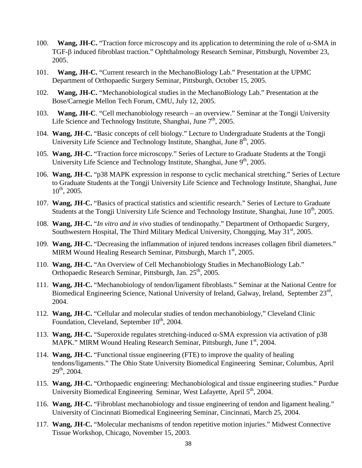- 100. **Wang, JH-C.** "Traction force microscopy and its application to determining the role of α-SMA in TGF-β induced fibroblast traction." Ophthalmology Research Seminar, Pittsburgh, November 23, 2005.
- 101. **Wang, JH-C.** "Current research in the MechanoBiology Lab." Presentation at the UPMC Department of Orthopaedic Surgery Seminar, Pittsburgh, October 15, 2005.
- 102. **Wang, JH-C.** "Mechanobiological studies in the MechanoBiology Lab." Presentation at the Bose/Carnegie Mellon Tech Forum, CMU, July 12, 2005.
- 103. **Wang, JH-C**. "Cell mechanobiology research an overview." Seminar at the Tongji University Life Science and Technology Institute, Shanghai, June  $7<sup>th</sup>$ , 2005.
- 104. **Wang, JH-C.** "Basic concepts of cell biology." Lecture to Undergraduate Students at the Tongji University Life Science and Technology Institute, Shanghai, June 8<sup>th</sup>, 2005.
- 105. **Wang, JH-C.** "Traction force microscopy." Series of Lecture to Graduate Students at the Tongji University Life Science and Technology Institute, Shanghai, June 9<sup>th</sup>, 2005.
- 106. **Wang, JH-C.** "p38 MAPK expression in response to cyclic mechanical stretching." Series of Lecture to Graduate Students at the Tongji University Life Science and Technology Institute, Shanghai, June  $10^{th}$ , 2005.
- 107. **Wang, JH-C.** "Basics of practical statistics and scientific research." Series of Lecture to Graduate Students at the Tongji University Life Science and Technology Institute, Shanghai, June 10<sup>th</sup>, 2005.
- 108. **Wang, JH-C.** "*In vitro and in vivo* studies of tendinopathy." Department of Orthopaedic Surgery, Southwestern Hospital, The Third Military Medical University, Chongqing, May  $31<sup>st</sup>$ , 2005.
- 109. **Wang, JH-C.** "Decreasing the inflammation of injured tendons increases collagen fibril diameters." MIRM Wound Healing Research Seminar, Pittsburgh, March 1<sup>st</sup>, 2005.
- 110. **Wang, JH-C.** "An Overview of Cell Mechanobiology Studies in MechanoBiology Lab." Orthopaedic Research Seminar, Pittsburgh, Jan. 25<sup>th</sup>, 2005.
- 111. **Wang, JH-C.** "Mechanobiology of tendon/ligament fibroblasts." Seminar at the National Centre for Biomedical Engineering Science, National University of Ireland, Galway, Ireland, September 23<sup>rd</sup>, 2004.
- 112. **Wang, JH-C.** "Cellular and molecular studies of tendon mechanobiology," Cleveland Clinic Foundation, Cleveland, September 10<sup>th</sup>, 2004.
- 113. **Wang, JH-C.** "Superoxide regulates stretching-induced α-SMA expression via activation of p38 MAPK." MIRM Wound Healing Research Seminar, Pittsburgh, June 1<sup>st</sup>, 2004.
- 114. **Wang, JH-C.** "Functional tissue engineering (FTE) to improve the quality of healing tendons/ligaments." The Ohio State University Biomedical Engineering Seminar, Columbus, April  $29^{th}$ , 2004.
- 115. **Wang, JH-C.** "Orthopaedic engineering: Mechanobiological and tissue engineering studies." Purdue University Biomedical Engineering Seminar, West Lafayette, April 5<sup>th</sup>, 2004.
- 116. **Wang, JH-C.** "Fibroblast mechanobiology and tissue engineering of tendon and ligament healing." University of Cincinnati Biomedical Engineering Seminar, Cincinnati, March 25, 2004.
- 117. **Wang, JH-C.** "Molecular mechanisms of tendon repetitive motion injuries." Midwest Connective Tissue Workshop, Chicago, November 15, 2003.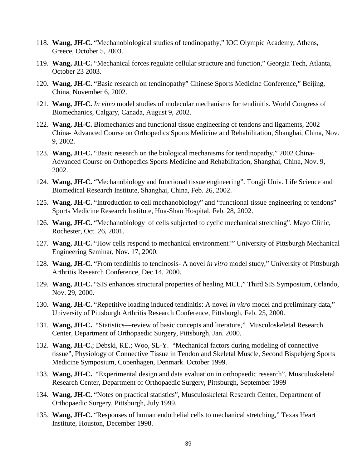- 118. **Wang, JH-C.** "Mechanobiological studies of tendinopathy," IOC Olympic Academy, Athens, Greece, October 5, 2003.
- 119. **Wang, JH-C.** "Mechanical forces regulate cellular structure and function," Georgia Tech, Atlanta, October 23 2003.
- 120. **Wang, JH-C.** "Basic research on tendinopathy" Chinese Sports Medicine Conference," Beijing, China, November 6, 2002.
- 121. **Wang, JH-C.** *In vitro* model studies of molecular mechanisms for tendinitis. World Congress of Biomechanics, Calgary, Canada, August 9, 2002.
- 122. **Wang, JH-C.** Biomechanics and functional tissue engineering of tendons and ligaments, 2002 China- Advanced Course on Orthopedics Sports Medicine and Rehabilitation, Shanghai, China, Nov. 9, 2002.
- 123. **Wang, JH-C.** "Basic research on the biological mechanisms for tendinopathy." 2002 China-Advanced Course on Orthopedics Sports Medicine and Rehabilitation, Shanghai, China, Nov. 9, 2002.
- 124. **Wang, JH-C.** "Mechanobiology and functional tissue engineering". Tongji Univ. Life Science and Biomedical Research Institute, Shanghai, China, Feb. 26, 2002.
- 125. **Wang, JH-C.** "Introduction to cell mechanobiology" and "functional tissue engineering of tendons" Sports Medicine Research Institute, Hua-Shan Hospital, Feb. 28, 2002.
- 126. **Wang, JH-C.** "Mechanobiology of cells subjected to cyclic mechanical stretching". Mayo Clinic, Rochester, Oct. 26, 2001.
- 127. **Wang, JH-C.** "How cells respond to mechanical environment?" University of Pittsburgh Mechanical Engineering Seminar, Nov. 17, 2000.
- 128. **Wang, JH-C.** "From tendinitis to tendinosis- A novel *in vitro* model study," University of Pittsburgh Arthritis Research Conference, Dec.14, 2000.
- 129. **Wang, JH-C.** "SIS enhances structural properties of healing MCL," Third SIS Symposium, Orlando, Nov. 29, 2000.
- 130. **Wang, JH-C.** "Repetitive loading induced tendinitis: A novel *in vitro* model and preliminary data," University of Pittsburgh Arthritis Research Conference, Pittsburgh, Feb. 25, 2000.
- 131. **Wang, JH-C.** "Statistics—review of basic concepts and literature," Musculoskeletal Research Center, Department of Orthopaedic Surgery, Pittsburgh, Jan. 2000.
- 132. **Wang, JH-C.**; Debski, RE.; Woo, SL-Y. "Mechanical factors during modeling of connective tissue", Physiology of Connective Tissue in Tendon and Skeletal Muscle, Second Bispebjerg Sports Medicine Symposium, Copenhagen, Denmark. October 1999.
- 133. **Wang, JH-C.** "Experimental design and data evaluation in orthopaedic research", Musculoskeletal Research Center, Department of Orthopaedic Surgery, Pittsburgh, September 1999
- 134. **Wang, JH-C.** "Notes on practical statistics", Musculoskeletal Research Center, Department of Orthopaedic Surgery, Pittsburgh, July 1999.
- 135. **Wang, JH-C.** "Responses of human endothelial cells to mechanical stretching," Texas Heart Institute, Houston, December 1998.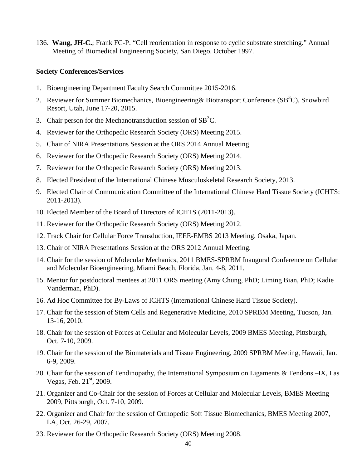136. **Wang, JH-C.**; Frank FC-P. "Cell reorientation in response to cyclic substrate stretching." Annual Meeting of Biomedical Engineering Society, San Diego. October 1997.

#### **Society Conferences/Services**

- 1. Bioengineering Department Faculty Search Committee 2015-2016.
- 2. Reviewer for Summer Biomechanics, Bioengineering & Biotransport Conference (SB<sup>3</sup>C), Snowbird Resort, Utah, June 17-20, 2015.
- 3. Chair person for the Mechanotransduction session of  $SB<sup>3</sup>C$ .
- 4. Reviewer for the Orthopedic Research Society (ORS) Meeting 2015.
- 5. Chair of NIRA Presentations Session at the ORS 2014 Annual Meeting
- 6. Reviewer for the Orthopedic Research Society (ORS) Meeting 2014.
- 7. Reviewer for the Orthopedic Research Society (ORS) Meeting 2013.
- 8. Elected President of the International Chinese Musculoskeletal Research Society, 2013.
- 9. Elected Chair of Communication Committee of the International Chinese Hard Tissue Society (ICHTS: 2011-2013).
- 10. Elected Member of the Board of Directors of ICHTS (2011-2013).
- 11. Reviewer for the Orthopedic Research Society (ORS) Meeting 2012.
- 12. Track Chair for Cellular Force Transduction, IEEE-EMBS 2013 Meeting, Osaka, Japan.
- 13. Chair of NIRA Presentations Session at the ORS 2012 Annual Meeting.
- 14. Chair for the session of Molecular Mechanics, 2011 BMES-SPRBM Inaugural Conference on Cellular and Molecular Bioengineering, Miami Beach, Florida, Jan. 4-8, 2011.
- 15. Mentor for postdoctoral mentees at 2011 ORS meeting (Amy Chung, PhD; Liming Bian, PhD; Kadie Vanderman, PhD).
- 16. Ad Hoc Committee for By-Laws of ICHTS (International Chinese Hard Tissue Society).
- 17. Chair for the session of Stem Cells and Regenerative Medicine, 2010 SPRBM Meeting, Tucson, Jan. 13-16, 2010.
- 18. Chair for the session of Forces at Cellular and Molecular Levels, 2009 BMES Meeting, Pittsburgh, Oct. 7-10, 2009.
- 19. Chair for the session of the Biomaterials and Tissue Engineering, 2009 SPRBM Meeting, Hawaii, Jan. 6-9, 2009.
- 20. Chair for the session of Tendinopathy, the International Symposium on Ligaments & Tendons –IX, Las Vegas, Feb.  $21<sup>st</sup>$ , 2009.
- 21. Organizer and Co-Chair for the session of Forces at Cellular and Molecular Levels, BMES Meeting 2009, Pittsburgh, Oct. 7-10, 2009.
- 22. Organizer and Chair for the session of Orthopedic Soft Tissue Biomechanics, BMES Meeting 2007, LA, Oct. 26-29, 2007.
- 23. Reviewer for the Orthopedic Research Society (ORS) Meeting 2008.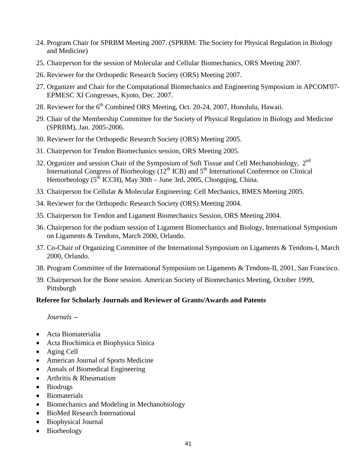- 24. Program Chair for SPRBM Meeting 2007. (SPRBM: The Society for Physical Regulation in Biology and Medicine)
- 25. Chairperson for the session of Molecular and Cellular Biomechanics, ORS Meeting 2007.
- 26. Reviewer for the Orthopedic Research Society (ORS) Meeting 2007.
- 27. Organizer and Chair for the Computational Biomechanics and Engineering Symposium in APCOM'07- EPMESC XI Congresses, Kyoto, Dec. 2007.
- 28. Reviewer for the 6<sup>th</sup> Combined ORS Meeting, Oct. 20-24, 2007, Honolulu, Hawaii.
- 29. Chair of the Membership Committee for the Society of Physical Regulation in Biology and Medicine (SPRBM), Jan. 2005-2006.
- 30. Reviewer for the Orthopedic Research Society (ORS) Meeting 2005.
- 31. Chairperson for Tendon Biomechanics session, ORS Meeting 2005.
- 32. Organizer and session Chair of the Symposium of Soft Tissue and Cell Mechanobiology, 2<sup>nd</sup> International Congress of Biorheology  $(12<sup>th</sup> ICB)$  and  $5<sup>th</sup>$  International Conference on Clinical Hemorheology  $(5^{th}$  ICCH), May 30th – June 3rd, 2005, Chongqing, China.
- 33. Chairperson for Cellular & Molecular Engineering: Cell Mechanics, BMES Meeting 2005.
- 34. Reviewer for the Orthopedic Research Society (ORS) Meeting 2004.
- 35. Chairperson for Tendon and Ligament Biomechanics Session, ORS Meeting 2004.
- 36. Chairperson for the podium session of Ligament Biomechanics and Biology, International Symposium on Ligaments & Tendons, March 2000, Orlando.
- 37. Co-Chair of Organizing Committee of the International Symposium on Ligaments & Tendons-I, March 2000, Orlando.
- 38. Program Committee of the International Symposium on Ligaments & Tendons-II, 2001, San Francisco.
- 39. Chairperson for the Bone session. American Society of Biomechanics Meeting, October 1999, Pittsburgh

### **Referee for Scholarly Journals and Reviewer of Grants/Awards and Patents**

*Journals --*

- Acta Biomaterialia
- Acta Biochimica et Biophysica Sinica
- Aging Cell
- American Journal of Sports Medicine
- Annals of Biomedical Engineering
- Arthritis & Rheumatism
- Biodrugs
- Biomaterials
- Biomechanics and Modeling in Mechanobiology
- BioMed Research International
- Biophysical Journal
- Biorheology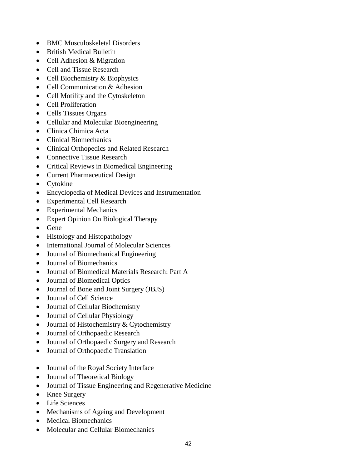- BMC Musculoskeletal Disorders
- British Medical Bulletin
- Cell Adhesion & Migration
- Cell and Tissue Research
- Cell Biochemistry & Biophysics
- Cell Communication & Adhesion
- Cell Motility and the Cytoskeleton
- Cell Proliferation
- Cells Tissues Organs
- Cellular and Molecular Bioengineering
- Clinica Chimica Acta
- Clinical Biomechanics
- Clinical Orthopedics and Related Research
- Connective Tissue Research
- Critical Reviews in Biomedical Engineering
- Current Pharmaceutical Design
- Cytokine
- Encyclopedia of Medical Devices and Instrumentation
- Experimental Cell Research
- Experimental Mechanics
- Expert Opinion On Biological Therapy
- Gene
- Histology and Histopathology
- International Journal of Molecular Sciences
- Journal of Biomechanical Engineering
- Journal of Biomechanics
- Journal of Biomedical Materials Research: Part A
- Journal of Biomedical Optics
- Journal of Bone and Joint Surgery (JBJS)
- Journal of Cell Science
- Journal of Cellular Biochemistry
- Journal of Cellular Physiology
- Journal of Histochemistry & Cytochemistry
- Journal of Orthopaedic Research
- Journal of Orthopaedic Surgery and Research
- Journal of Orthopaedic Translation
- Journal of the Royal Society Interface
- Journal of Theoretical Biology
- Journal of Tissue Engineering and Regenerative Medicine
- Knee Surgery
- Life Sciences
- Mechanisms of Ageing and Development
- Medical Biomechanics
- Molecular and Cellular Biomechanics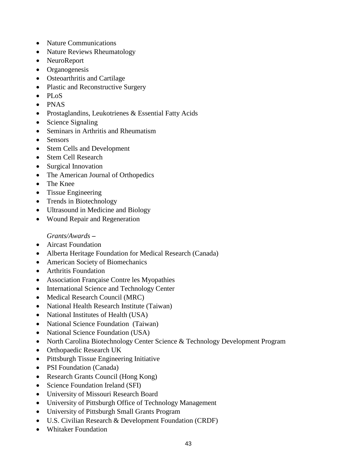- Nature Communications
- Nature Reviews Rheumatology
- NeuroReport
- Organogenesis
- Osteoarthritis and Cartilage
- Plastic and Reconstructive Surgery
- PLoS
- PNAS
- Prostaglandins, Leukotrienes & Essential Fatty Acids
- Science Signaling
- Seminars in Arthritis and Rheumatism
- Sensors
- Stem Cells and Development
- Stem Cell Research
- Surgical Innovation
- The American Journal of Orthopedics
- The Knee
- Tissue Engineering
- Trends in Biotechnology
- Ultrasound in Medicine and Biology
- Wound Repair and Regeneration

*Grants/Awards* **–**

- Aircast Foundation
- Alberta Heritage Foundation for Medical Research (Canada)
- American Society of Biomechanics
- Arthritis Foundation
- Association Française Contre les Myopathies
- International Science and Technology Center
- Medical Research Council (MRC)
- National Health Research Institute (Taiwan)
- National Institutes of Health (USA)
- National Science Foundation (Taiwan)
- National Science Foundation (USA)
- North Carolina Biotechnology Center Science & Technology Development Program
- Orthopaedic Research UK
- Pittsburgh Tissue Engineering Initiative
- PSI Foundation (Canada)
- Research Grants Council (Hong Kong)
- Science Foundation Ireland (SFI)
- University of Missouri Research Board
- University of Pittsburgh Office of Technology Management
- University of Pittsburgh Small Grants Program
- U.S. Civilian Research & Development Foundation (CRDF)
- Whitaker Foundation